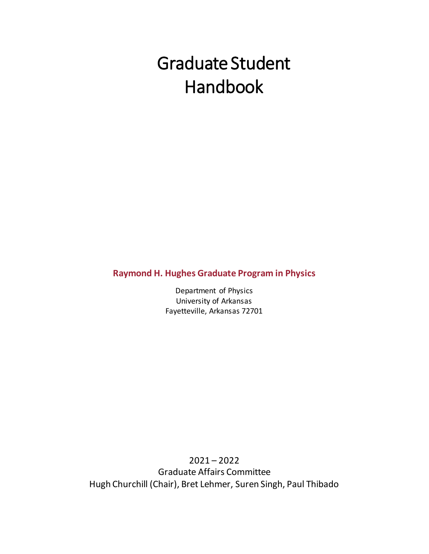# Graduate Student Handbook

**Raymond H. Hughes Graduate Program in Physics**

Department of Physics University of Arkansas Fayetteville, Arkansas 72701

2021 – 2022 Graduate Affairs Committee Hugh Churchill (Chair), Bret Lehmer, Suren Singh, Paul Thibado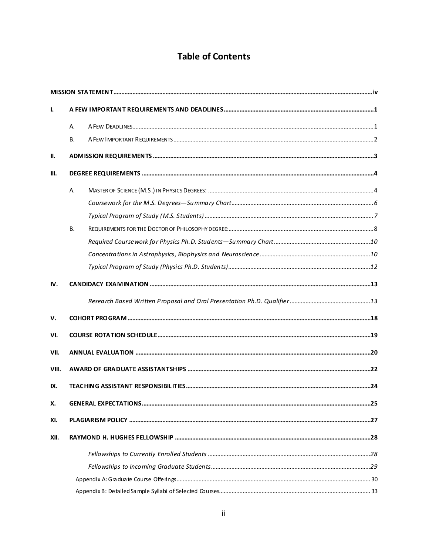# **Table of Contents**

| $\mathbf{I}$ |           |  |
|--------------|-----------|--|
|              | А.        |  |
|              | <b>B.</b> |  |
| П.           |           |  |
| Ш.           |           |  |
|              | А.        |  |
|              |           |  |
|              |           |  |
|              | <b>B.</b> |  |
|              |           |  |
|              |           |  |
|              |           |  |
| IV.          |           |  |
|              |           |  |
| v.           |           |  |
| VI.          |           |  |
| VII.         |           |  |
| VIII.        |           |  |
| IX.          |           |  |
| х.           |           |  |
| XI.          |           |  |
| XII.         |           |  |
|              |           |  |
|              |           |  |
|              |           |  |
|              |           |  |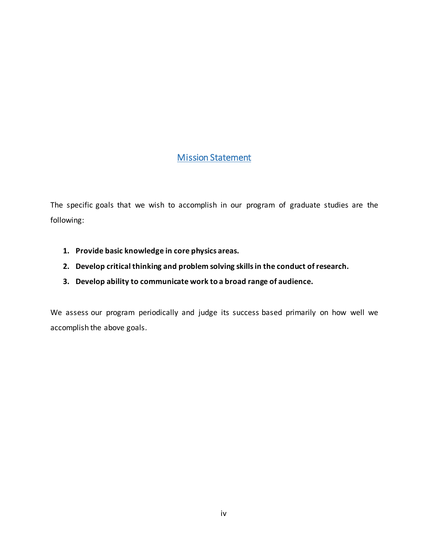### Mission Statement

<span id="page-3-0"></span>The specific goals that we wish to accomplish in our program of graduate studies are the following:

- **1. Provide basic knowledge in core physics areas.**
- **2. Develop critical thinking and problem solving skills in the conduct of research.**
- **3. Develop ability to communicate work to a broad range of audience.**

We assess our program periodically and judge its success based primarily on how well we accomplish the above goals.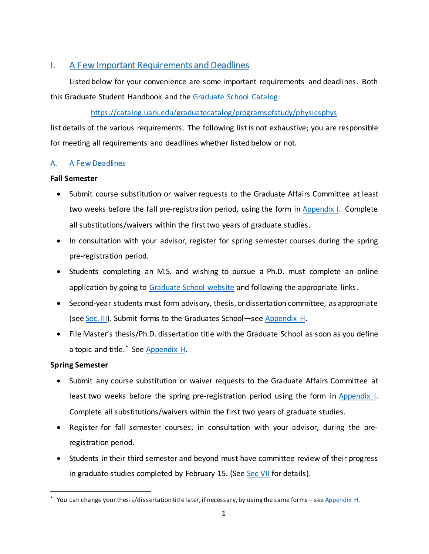### <span id="page-4-0"></span>I. A Few Important Requirements and Deadlines

Listed below for your convenience are some important requirements and deadlines. Both this Graduate Student Handbook and the [Graduate School Catalog:](https://catalog.uark.edu/graduatecatalog/programsofstudy/physicsphys/)

### <https://catalog.uark.edu/graduatecatalog/programsofstudy/physicsphys>

list details of the various requirements. The following list is not exhaustive; you are responsible for meeting all requirements and deadlines whether listed below or not.

### <span id="page-4-1"></span>A. A Few Deadlines

### **Fall Semester**

- Submit course substitution or waiver requests to the Graduate Affairs Committee at least two weeks before the fall pre-registration period, using the form i[n Appendix I.](#page-62-0) Complete all substitutions/waivers within the first two years of graduate studies.
- In consultation with your advisor, register for spring semester courses during the spring pre-registration period.
- Students completing an M.S. and wishing to pursue a Ph.D. must complete an online application by going to [Graduate School website](https://graduate-and-international.uark.edu/graduate/future-students/) and following the appropriate links.
- Second-year students must form advisory, thesis, or dissertation committee, as appropriate (see [Sec. III\)](#page-7-0). Submit forms to the Graduates School—see [Appendix H.](#page-61-0)
- File Master's thesis/Ph.D. dissertation title with the Graduate School as soon as you define a topic and title.<sup>[\\*](#page-4-2)</sup> See [Appendix](#page-61-0) H.

### **Spring Semester**

- Submit any course substitution or waiver requests to the Graduate Affairs Committee at least two weeks before the spring pre-registration period using the form in [Appendix I.](#page-62-0) Complete all substitutions/waivers within the first two years of graduate studies.
- Register for fall semester courses, in consultation with your advisor, during the preregistration period.
- Students in their third semester and beyond must have committee review of their progress in graduate studies completed by February 15. (See [Sec VII](#page-23-0) for details).

<span id="page-4-2"></span><sup>\*</sup> You can change your thesis/dissertation title later, if necessary, by using the same forms—se[e Appendix H.](#page-61-0)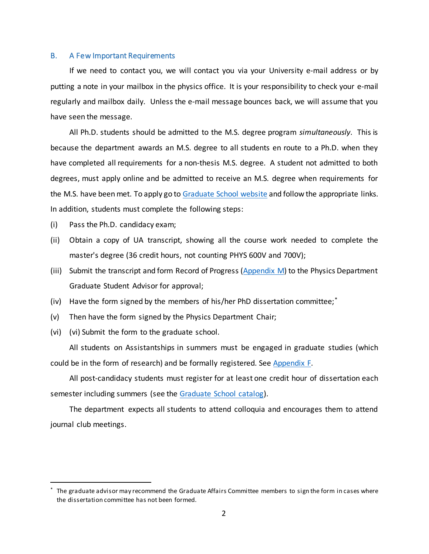#### <span id="page-5-0"></span>B. A Few Important Requirements

If we need to contact you, we will contact you via your University e-mail address or by putting a note in your mailbox in the physics office. It is your responsibility to check your e-mail regularly and mailbox daily. Unless the e-mail message bounces back, we will assume that you have seen the message.

All Ph.D. students should be admitted to the M.S. degree program *simultaneously*. This is because the department awards an M.S. degree to all students en route to a Ph.D. when they have completed all requirements for a non-thesis M.S. degree. A student not admitted to both degrees, must apply online and be admitted to receive an M.S. degree when requirements for the M.S. have been met. To apply go to [Graduate School website](https://graduate-and-international.uark.edu/graduate/future-students/) and follow the appropriate links. In addition, students must complete the following steps:

- (i) Pass the Ph.D. candidacy exam;
- (ii) Obtain a copy of UA transcript, showing all the course work needed to complete the master's degree (36 credit hours, not counting PHYS 600V and 700V);
- (iii) Submit the transcript and form Record of Progress [\(Appendix M\)](#page-66-0) to the Physics Department Graduate Student Advisor for approval;
- (iv) Have the form signed by the members of his/her PhD dissertation committee;[\\*](#page-5-1)
- (v) Then have the form signed by the Physics Department Chair;
- (vi) (vi) Submit the form to the graduate school.

All students on Assistantships in summers must be engaged in graduate studies (which could be in the form of research) and be formally registered. See [Appendix F.](#page-59-0)

All post-candidacy students must register for at least one credit hour of dissertation each semester including summers (see the [Graduate School catalog\)](http://catalog.uark.edu/graduatecatalog/).

The department expects all students to attend colloquia and encourages them to attend journal club meetings.

<span id="page-5-1"></span> <sup>\*</sup> The graduate advisor may recommend the Graduate Affairs Committee members to sign the form in cases where the dissertation committee has not been formed.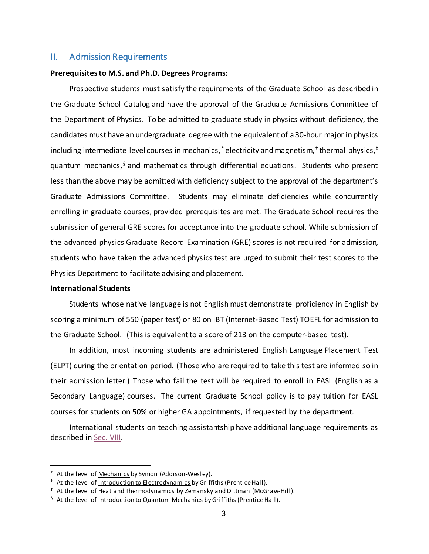### <span id="page-6-0"></span>II. Admission Requirements

#### **Prerequisites to M.S. and Ph.D. Degrees Programs:**

Prospective students must satisfy the requirements of the Graduate School as described in the Graduate School Catalog and have the approval of the Graduate Admissions Committee of the Department of Physics. To be admitted to graduate study in physics without deficiency, the candidates must have an undergraduate degree with the equivalent of a 30-hour major in physics including intermediate level courses in mechanics,<sup>[\\*](#page-6-1)</sup> electricity and magnetism,<sup>[†](#page-6-2)</sup> thermal physics,<sup>‡</sup> quantum mechanics, $§$  and mathematics through differential equations. Students who present less than the above may be admitted with deficiency subject to the approval of the department's Graduate Admissions Committee. Students may eliminate deficiencies while concurrently enrolling in graduate courses, provided prerequisites are met. The Graduate School requires the submission of general GRE scores for acceptance into the graduate school. While submission of the advanced physics Graduate Record Examination (GRE) scores is not required for admission, students who have taken the advanced physics test are urged to submit their test scores to the Physics Department to facilitate advising and placement.

### **International Students**

Students whose native language is not English must demonstrate proficiency in English by scoring a minimum of 550 (paper test) or 80 on iBT (Internet-Based Test) TOEFL for admission to the Graduate School. (This is equivalent to a score of 213 on the computer-based test).

In addition, most incoming students are administered English Language Placement Test (ELPT) during the orientation period. (Those who are required to take this test are informed so in their admission letter.) Those who fail the test will be required to enroll in EASL (English as a Secondary Language) courses. The current Graduate School policy is to pay tuition for EASL courses for students on 50% or higher GA appointments, if requested by the department.

International students on teaching assistantship have additional language requirements as described in [Sec. VIII.](#page-25-0)

<span id="page-6-1"></span>At the level of Mechanics by Symon (Addison-Wesley).

<span id="page-6-2"></span><sup>&</sup>lt;sup>†</sup> At the level of Introduction to Electrodynamics by Griffiths (Prentice Hall).

<span id="page-6-3"></span><sup>‡</sup> At the level of Heat and Thermodynamics by Zemansky and Dittman (McGraw-Hill).

<span id="page-6-4"></span><sup>&</sup>lt;sup>§</sup> At the level of Introduction to Quantum Mechanics by Griffiths (Prentice Hall).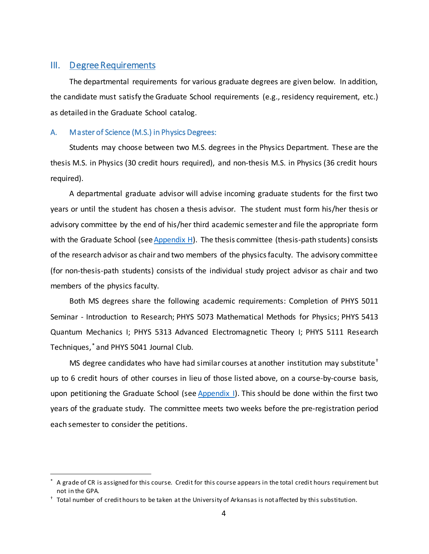### <span id="page-7-0"></span>III. Degree Requirements

The departmental requirements for various graduate degrees are given below. In addition, the candidate must satisfy the Graduate School requirements (e.g., residency requirement, etc.) as detailed in the Graduate School catalog.

### <span id="page-7-1"></span>A. Master of Science (M.S.) in Physics Degrees:

Students may choose between two M.S. degrees in the Physics Department. These are the thesis M.S. in Physics (30 credit hours required), and non-thesis M.S. in Physics (36 credit hours required).

A departmental graduate advisor will advise incoming graduate students for the first two years or until the student has chosen a thesis advisor. The student must form his/her thesis or advisory committee by the end of his/her third academic semester and file the appropriate form with the Graduate School (se[e Appendix H\)](#page-61-0). The thesis committee (thesis-path students) consists of the research advisor as chair and two members of the physics faculty. The advisory committee (for non-thesis-path students) consists of the individual study project advisor as chair and two members of the physics faculty.

Both MS degrees share the following academic requirements: Completion of PHYS 5011 Seminar - Introduction to Research; PHYS 5073 Mathematical Methods for Physics; PHYS 5413 Quantum Mechanics I; PHYS 5313 Advanced Electromagnetic Theory I; PHYS 5111 Research Techniques,[\\*](#page-7-2) and PHYS 5041 Journal Club.

MS degree candidates who have had similar courses at another institution may substitute<sup>[†](#page-7-3)</sup> up to 6 credit hours of other courses in lieu of those listed above, on a course-by-course basis, upon petitioning the Graduate School (see [Appendix I\)](#page-62-0). This should be done within the first two years of the graduate study. The committee meets two weeks before the pre-registration period each semester to consider the petitions.

<span id="page-7-2"></span> <sup>\*</sup> A grade of CR is assigned for this course. Credit for this course appears in the total credit hours requirement but not in the GPA.

<span id="page-7-3"></span><sup>†</sup> Total number of credit hours to be taken at the University of Arkansas is not affected by this substitution.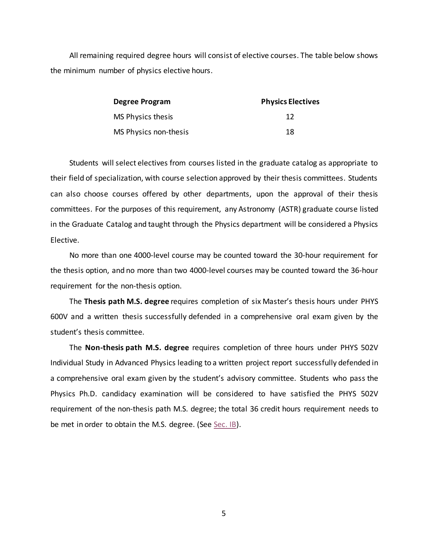All remaining required degree hours will consist of elective courses. The table below shows the minimum number of physics elective hours.

| Degree Program        | <b>Physics Electives</b> |  |
|-----------------------|--------------------------|--|
| MS Physics thesis     | 12                       |  |
| MS Physics non-thesis | 18                       |  |

Students will select electives from courses listed in the graduate catalog as appropriate to their field of specialization, with course selection approved by their thesis committees. Students can also choose courses offered by other departments, upon the approval of their thesis committees. For the purposes of this requirement, any Astronomy (ASTR) graduate course listed in the Graduate Catalog and taught through the Physics department will be considered a Physics Elective.

No more than one 4000-level course may be counted toward the 30-hour requirement for the thesis option, and no more than two 4000-level courses may be counted toward the 36-hour requirement for the non-thesis option.

The **Thesis path M.S. degree** requires completion of six Master's thesis hours under PHYS 600V and a written thesis successfully defended in a comprehensive oral exam given by the student's thesis committee.

The **Non-thesis path M.S. degree** requires completion of three hours under PHYS 502V Individual Study in Advanced Physics leading to a written project report successfully defended in a comprehensive oral exam given by the student's advisory committee. Students who pass the Physics Ph.D. candidacy examination will be considered to have satisfied the PHYS 502V requirement of the non-thesis path M.S. degree; the total 36 credit hours requirement needs to be met in order to obtain the M.S. degree. (See [Sec. IB\)](#page-5-0).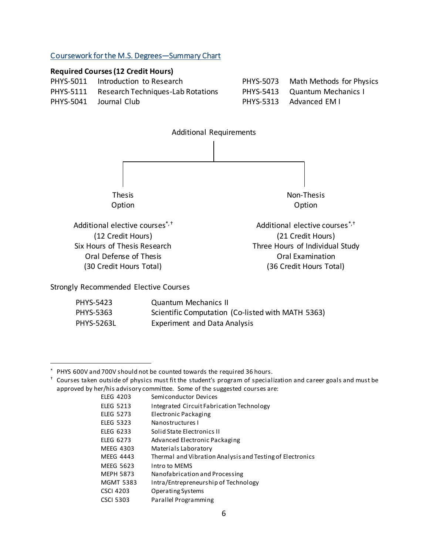### <span id="page-9-0"></span>Coursework for the M.S. Degrees—Summary Chart

### **Required Courses (12 Credit Hours)**

| PHYS-5011 Introduction to Research          | PHYS-5073 Math Methods for Physics |
|---------------------------------------------|------------------------------------|
| PHYS-5111 Research Techniques-Lab Rotations | PHYS-5413 Quantum Mechanics I      |
| PHYS-5041 Journal Club                      | PHYS-5313 Advanced EM I            |



Strongly Recommended Elective Courses

<span id="page-9-2"></span><span id="page-9-1"></span>

| <b>PHYS-5423</b>  | <b>Quantum Mechanics II</b>                       |
|-------------------|---------------------------------------------------|
| <b>PHYS-5363</b>  | Scientific Computation (Co-listed with MATH 5363) |
| <b>PHYS-5263L</b> | <b>Experiment and Data Analysis</b>               |

| <b>ELEG 4203</b> | Semiconductor Devices                                     |
|------------------|-----------------------------------------------------------|
| <b>ELEG 5213</b> | Integrated Circuit Fabrication Technology                 |
| <b>ELEG 5273</b> | Electronic Packaging                                      |
| <b>ELEG 5323</b> | Nanostructures I                                          |
| <b>ELEG 6233</b> | Solid State Electronics II                                |
| <b>ELEG 6273</b> | Advanced Electronic Packaging                             |
| MEEG 4303        | Materials Laboratory                                      |
| <b>MEEG 4443</b> | Thermal and Vibration Analysis and Testing of Electronics |
| MEEG 5623        | Intro to MEMS                                             |
| <b>MEPH 5873</b> | Nanofabrication and Processing                            |
| <b>MGMT 5383</b> | Intra/Entrepreneurship of Technology                      |
| <b>CSCI 4203</b> | Operating Systems                                         |
| <b>CSCI 5303</b> | Parallel Programming                                      |
|                  |                                                           |

<span id="page-9-3"></span> <sup>\*</sup> PHYS 600V and 700V should not be counted towards the required 36 hours.

<span id="page-9-4"></span><sup>†</sup> Courses taken outside of physics must fit the student's program of specialization and career goals and must be approved by her/his advisory committee. Some of the suggested courses are: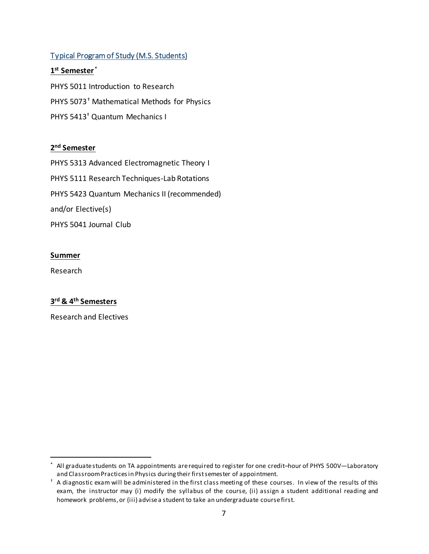### <span id="page-10-0"></span>Typical Program of Study (M.S. Students)

### **1st Semester**[\\*](#page-10-2)

<span id="page-10-1"></span>PHYS 5011 Introduction to Research PHYS 5073[†](#page-10-3) Mathematical Methods for Physics PHYS 541[3†](#page-10-1) Quantum Mechanics I

### **2nd Semester**

PHYS 5313 Advanced Electromagnetic Theory I PHYS 5111 Research Techniques-Lab Rotations PHYS 5423 Quantum Mechanics II (recommended) and/or Elective(s) PHYS 5041 Journal Club

### **Summer**

Research

### **3rd & 4th Semesters**

Research and Electives

<span id="page-10-2"></span>All graduate students on TA appointments are required to register for one credit-hour of PHYS 500V-Laboratory and Classroom Practices in Physics during their first semester of appointment.

<span id="page-10-3"></span> $<sup>†</sup>$  A diagnostic exam will be administered in the first class meeting of these courses. In view of the results of this</sup> exam, the instructor may (i) modify the syllabus of the course, (ii) assign a student additional reading and homework problems, or (iii) advise a student to take an undergraduate course first.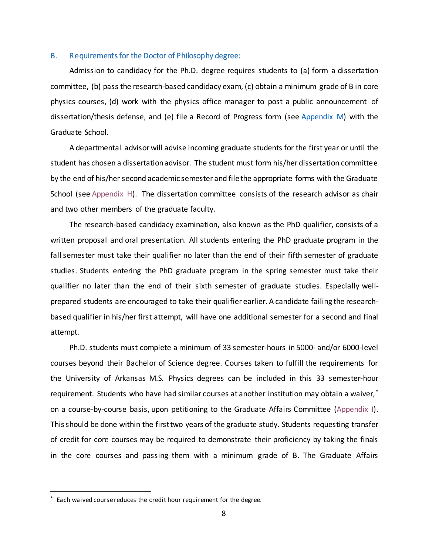#### <span id="page-11-0"></span>B. Requirements for the Doctor of Philosophy degree:

Admission to candidacy for the Ph.D. degree requires students to (a) form a dissertation committee, (b) pass the research-based candidacy exam, (c) obtain a minimum grade of B in core physics courses, (d) work with the physics office manager to post a public announcement of dissertation/thesis defense, and (e) file a Record of Progress form (see [Appendix M\)](#page-66-0) with the Graduate School.

A departmental advisor will advise incoming graduate students for the first year or until the student has chosen a dissertationadvisor. The student must form his/her dissertation committee by the end of his/her second academic semester and file the appropriate forms with the Graduate School (see [Appendix H\)](#page-61-0). The dissertation committee consists of the research advisor as chair and two other members of the graduate faculty.

The research-based candidacy examination, also known as the PhD qualifier, consists of a written proposal and oral presentation. All students entering the PhD graduate program in the fall semester must take their qualifier no later than the end of their fifth semester of graduate studies. Students entering the PhD graduate program in the spring semester must take their qualifier no later than the end of their sixth semester of graduate studies. Especially wellprepared students are encouraged to take their qualifier earlier. A candidate failing the researchbased qualifier in his/her first attempt, will have one additional semester for a second and final attempt.

Ph.D. students must complete a minimum of 33 semester-hours in 5000- and/or 6000-level courses beyond their Bachelor of Science degree. Courses taken to fulfill the requirements for the University of Arkansas M.S. Physics degrees can be included in this 33 semester-hour requirement. Students who have had similar courses at another institution may obtain a waiver,[\\*](#page-11-1) on a course-by-course basis, upon petitioning to the Graduate Affairs Committee [\(Appendix I\)](#page-62-0). This should be done within the first two years of the graduate study. Students requesting transfer of credit for core courses may be required to demonstrate their proficiency by taking the finals in the core courses and passing them with a minimum grade of B. The Graduate Affairs

<span id="page-11-1"></span>Each waived course reduces the credit hour requirement for the degree.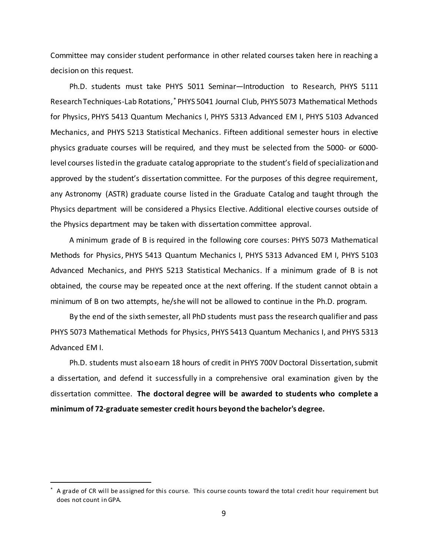Committee may consider student performance in other related courses taken here in reaching a decision on this request.

Ph.D. students must take PHYS 5011 Seminar—Introduction to Research, PHYS 5111 Research Techniques-Lab Rotations,[\\*](#page-12-0) PHYS 5041 Journal Club, PHYS 5073 Mathematical Methods for Physics, PHYS 5413 Quantum Mechanics I, PHYS 5313 Advanced EM I, PHYS 5103 Advanced Mechanics, and PHYS 5213 Statistical Mechanics. Fifteen additional semester hours in elective physics graduate courses will be required, and they must be selected from the 5000- or 6000 level courses listed in the graduate catalog appropriate to the student's field of specialization and approved by the student's dissertation committee. For the purposes of this degree requirement, any Astronomy (ASTR) graduate course listed in the Graduate Catalog and taught through the Physics department will be considered a Physics Elective. Additional elective courses outside of the Physics department may be taken with dissertation committee approval.

A minimum grade of B is required in the following core courses: PHYS 5073 Mathematical Methods for Physics, PHYS 5413 Quantum Mechanics I, PHYS 5313 Advanced EM I, PHYS 5103 Advanced Mechanics, and PHYS 5213 Statistical Mechanics. If a minimum grade of B is not obtained, the course may be repeated once at the next offering. If the student cannot obtain a minimum of B on two attempts, he/she will not be allowed to continue in the Ph.D. program.

By the end of the sixth semester, all PhD students must pass the research qualifier and pass PHYS 5073 Mathematical Methods for Physics, PHYS 5413 Quantum Mechanics I, and PHYS 5313 Advanced EM I.

Ph.D. students must also earn 18 hours of credit in PHYS 700V Doctoral Dissertation, submit a dissertation, and defend it successfully in a comprehensive oral examination given by the dissertation committee. **The doctoral degree will be awarded to students who complete a minimum of 72-graduate semester credit hours beyond the bachelor's degree.**

<span id="page-12-0"></span> <sup>\*</sup> A grade of CR will be assigned for this course. This course counts toward the total credit hour requirement but does not count in GPA.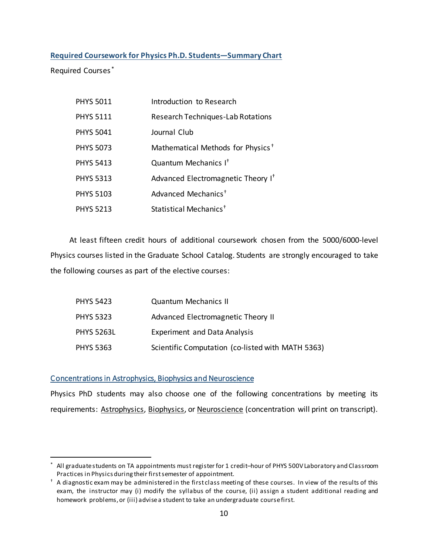### <span id="page-13-0"></span>**Required Coursework for Physics Ph.D. Students—Summary Chart**

Required Courses [\\*](#page-13-3)

<span id="page-13-2"></span>

| <b>PHYS 5011</b> | Introduction to Research                       |
|------------------|------------------------------------------------|
| <b>PHYS 5111</b> | Research Techniques-Lab Rotations              |
| <b>PHYS 5041</b> | Journal Club                                   |
| <b>PHYS 5073</b> | Mathematical Methods for Physics <sup>+</sup>  |
| <b>PHYS 5413</b> | Quantum Mechanics I <sup>+</sup>               |
| <b>PHYS 5313</b> | Advanced Electromagnetic Theory I <sup>t</sup> |
| <b>PHYS 5103</b> | Advanced Mechanics <sup>+</sup>                |
| <b>PHYS 5213</b> | Statistical Mechanics <sup>+</sup>             |

At least fifteen credit hours of additional coursework chosen from the 5000/6000-level Physics courses listed in the Graduate School Catalog. Students are strongly encouraged to take the following courses as part of the elective courses:

| <b>PHYS 5423</b> | <b>Quantum Mechanics II</b>                       |
|------------------|---------------------------------------------------|
| <b>PHYS 5323</b> | Advanced Electromagnetic Theory II                |
| PHYS 5263L       | <b>Experiment and Data Analysis</b>               |
| PHYS 5363        | Scientific Computation (co-listed with MATH 5363) |

### <span id="page-13-1"></span>Concentrations in Astrophysics, Biophysics and Neuroscience

Physics PhD students may also choose one of the following concentrations by meeting its requirements: Astrophysics, Biophysics, or Neuroscience (concentration will print on transcript).

<span id="page-13-3"></span>All graduate students on TA appointments must register for 1 credit-hour of PHYS 500V Laboratory and Classroom Practices in Physics during their first semester of appointment.

<span id="page-13-4"></span> $<sup>†</sup>$  A diagnostic exam may be administered in the first class meeting of these courses. In view of the results of this</sup> exam, the instructor may (i) modify the syllabus of the course, (ii) assign a student additional reading and homework problems, or (iii) advise a student to take an undergraduate course first.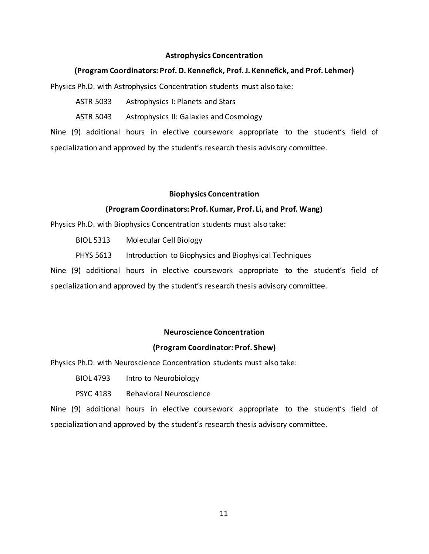### **Astrophysics Concentration**

### **(Program Coordinators: Prof. D. Kennefick, Prof. J. Kennefick, and Prof. Lehmer)**

Physics Ph.D. with Astrophysics Concentration students must also take:

ASTR 5033 Astrophysics I: Planets and Stars

ASTR 5043 Astrophysics II: Galaxies and Cosmology

Nine (9) additional hours in elective coursework appropriate to the student's field of specialization and approved by the student's research thesis advisory committee.

### **Biophysics Concentration**

### **(Program Coordinators: Prof. Kumar, Prof. Li, and Prof. Wang)**

Physics Ph.D. with Biophysics Concentration students must also take:

BIOL 5313 Molecular Cell Biology

PHYS 5613 Introduction to Biophysics and Biophysical Techniques

Nine (9) additional hours in elective coursework appropriate to the student's field of specialization and approved by the student's research thesis advisory committee.

### **Neuroscience Concentration**

### **(Program Coordinator: Prof. Shew)**

Physics Ph.D. with Neuroscience Concentration students must also take:

BIOL 4793 Intro to Neurobiology

PSYC 4183 Behavioral Neuroscience

Nine (9) additional hours in elective coursework appropriate to the student's field of specialization and approved by the student's research thesis advisory committee.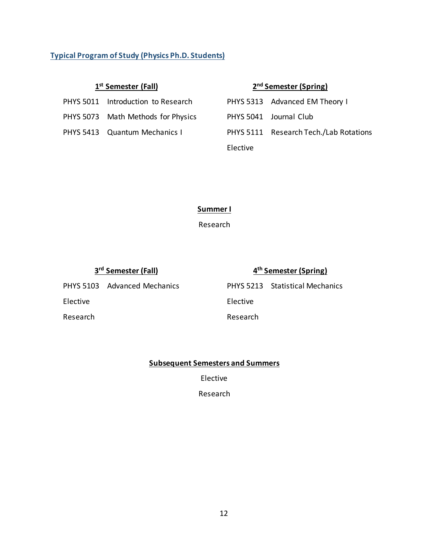### <span id="page-15-0"></span>**Typical Program of Study (Physics Ph.D. Students)**

| PHYS 5011 Introduction to Research | PHYS 5313 Advanced EM Theory I |
|------------------------------------|--------------------------------|
|                                    |                                |

- PHYS 5073 Math Methods for Physics
- PHYS 5413 Quantum Mechanics I

### **1st Semester (Fall) 2nd Semester (Spring)**

|          | PHYS 5313 Advanced EM Theory I         |
|----------|----------------------------------------|
|          | PHYS 5041 Journal Club                 |
|          | PHYS 5111 Research Tech./Lab Rotations |
| Elective |                                        |

### **Summer I**

Research

### **3rd Semester (Fall) 4th Semester (Spring)**

PHYS 5103 Advanced Mechanics PHYS 5213 Statistical Mechanics Elective Elective Research **Research** Research

### **Subsequent Semesters and Summers**

Elective

Research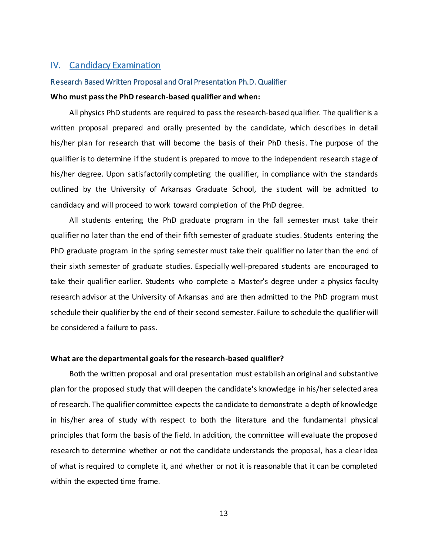### <span id="page-16-0"></span>IV. Candidacy Examination

#### <span id="page-16-1"></span>Research Based Written Proposal and Oral Presentation Ph.D. Qualifier

#### **Who must pass the PhD research-based qualifier and when:**

All physics PhD students are required to pass the research-based qualifier. The qualifier is a written proposal prepared and orally presented by the candidate, which describes in detail his/her plan for research that will become the basis of their PhD thesis. The purpose of the qualifier is to determine if the student is prepared to move to the independent research stage of his/her degree. Upon satisfactorily completing the qualifier, in compliance with the standards outlined by the University of Arkansas Graduate School, the student will be admitted to candidacy and will proceed to work toward completion of the PhD degree.

All students entering the PhD graduate program in the fall semester must take their qualifier no later than the end of their fifth semester of graduate studies. Students entering the PhD graduate program in the spring semester must take their qualifier no later than the end of their sixth semester of graduate studies. Especially well-prepared students are encouraged to take their qualifier earlier. Students who complete a Master's degree under a physics faculty research advisor at the University of Arkansas and are then admitted to the PhD program must schedule their qualifier by the end of their second semester. Failure to schedule the qualifier will be considered a failure to pass.

#### **What are the departmental goals for the research-based qualifier?**

Both the written proposal and oral presentation must establish an original and substantive plan for the proposed study that will deepen the candidate's knowledge in his/her selected area of research. The qualifier committee expects the candidate to demonstrate a depth of knowledge in his/her area of study with respect to both the literature and the fundamental physical principles that form the basis of the field. In addition, the committee will evaluate the proposed research to determine whether or not the candidate understands the proposal, has a clear idea of what is required to complete it, and whether or not it is reasonable that it can be completed within the expected time frame.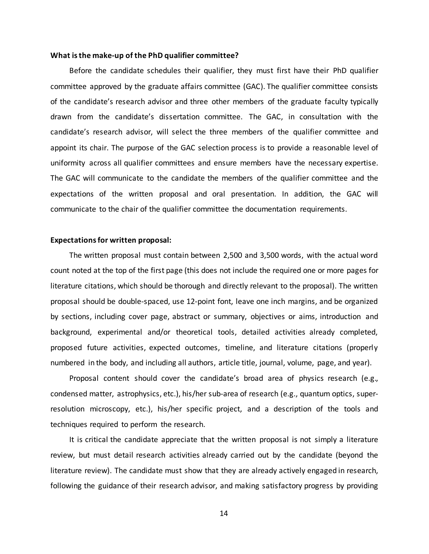#### **What is the make-up of the PhD qualifier committee?**

Before the candidate schedules their qualifier, they must first have their PhD qualifier committee approved by the graduate affairs committee (GAC). The qualifier committee consists of the candidate's research advisor and three other members of the graduate faculty typically drawn from the candidate's dissertation committee. The GAC, in consultation with the candidate's research advisor, will select the three members of the qualifier committee and appoint its chair. The purpose of the GAC selection process is to provide a reasonable level of uniformity across all qualifier committees and ensure members have the necessary expertise. The GAC will communicate to the candidate the members of the qualifier committee and the expectations of the written proposal and oral presentation. In addition, the GAC will communicate to the chair of the qualifier committee the documentation requirements.

#### **Expectations for written proposal:**

The written proposal must contain between 2,500 and 3,500 words, with the actual word count noted at the top of the first page (this does not include the required one or more pages for literature citations, which should be thorough and directly relevant to the proposal). The written proposal should be double-spaced, use 12-point font, leave one inch margins, and be organized by sections, including cover page, abstract or summary, objectives or aims, introduction and background, experimental and/or theoretical tools, detailed activities already completed, proposed future activities, expected outcomes, timeline, and literature citations (properly numbered in the body, and including all authors, article title, journal, volume, page, and year).

Proposal content should cover the candidate's broad area of physics research (e.g., condensed matter, astrophysics, etc.), his/her sub-area of research (e.g., quantum optics, superresolution microscopy, etc.), his/her specific project, and a description of the tools and techniques required to perform the research.

It is critical the candidate appreciate that the written proposal is not simply a literature review, but must detail research activities already carried out by the candidate (beyond the literature review). The candidate must show that they are already actively engaged in research, following the guidance of their research advisor, and making satisfactory progress by providing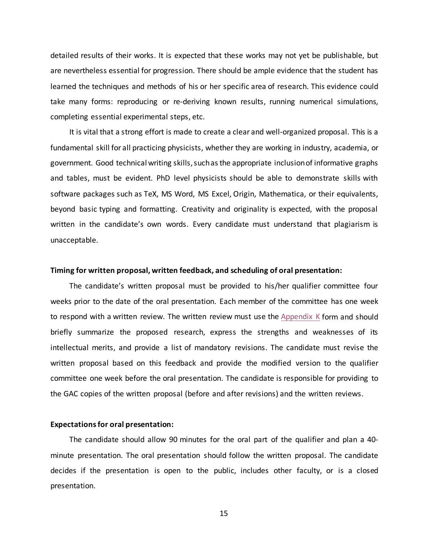detailed results of their works. It is expected that these works may not yet be publishable, but are nevertheless essential for progression. There should be ample evidence that the student has learned the techniques and methods of his or her specific area of research. This evidence could take many forms: reproducing or re-deriving known results, running numerical simulations, completing essential experimental steps, etc.

It is vital that a strong effort is made to create a clear and well-organized proposal. This is a fundamental skill for all practicing physicists, whether they are working in industry, academia, or government. Good technical writing skills, such as the appropriate inclusion of informative graphs and tables, must be evident. PhD level physicists should be able to demonstrate skills with software packages such as TeX, MS Word, MS Excel, Origin, Mathematica, or their equivalents, beyond basic typing and formatting. Creativity and originality is expected, with the proposal written in the candidate's own words. Every candidate must understand that plagiarism is unacceptable.

#### **Timing for written proposal, written feedback, and scheduling of oral presentation:**

The candidate's written proposal must be provided to his/her qualifier committee four weeks prior to the date of the oral presentation. Each member of the committee has one week to respond with a written review. The written review must use the [Appendix K](#page-64-0) form and should briefly summarize the proposed research, express the strengths and weaknesses of its intellectual merits, and provide a list of mandatory revisions. The candidate must revise the written proposal based on this feedback and provide the modified version to the qualifier committee one week before the oral presentation. The candidate is responsible for providing to the GAC copies of the written proposal (before and after revisions) and the written reviews.

#### **Expectations for oral presentation:**

The candidate should allow 90 minutes for the oral part of the qualifier and plan a 40 minute presentation. The oral presentation should follow the written proposal. The candidate decides if the presentation is open to the public, includes other faculty, or is a closed presentation.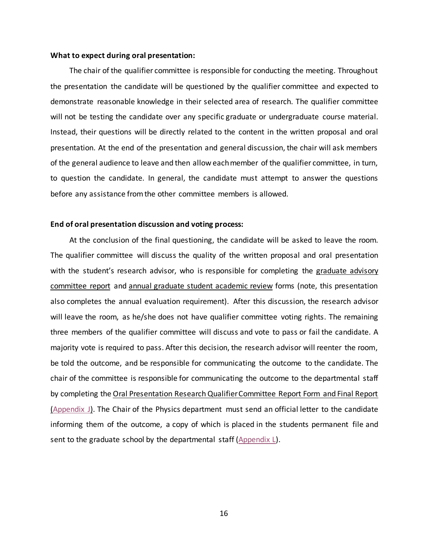#### **What to expect during oral presentation:**

The chair of the qualifier committee is responsible for conducting the meeting. Throughout the presentation the candidate will be questioned by the qualifier committee and expected to demonstrate reasonable knowledge in their selected area of research. The qualifier committee will not be testing the candidate over any specific graduate or undergraduate course material. Instead, their questions will be directly related to the content in the written proposal and oral presentation. At the end of the presentation and general discussion, the chair will ask members of the general audience to leave and then allow each member of the qualifier committee, in turn, to question the candidate. In general, the candidate must attempt to answer the questions before any assistance from the other committee members is allowed.

#### **End of oral presentation discussion and voting process:**

At the conclusion of the final questioning, the candidate will be asked to leave the room. The qualifier committee will discuss the quality of the written proposal and oral presentation with the student's research advisor, who is responsible for completing the graduate advisory committee report and annual graduate student academic review forms (note, this presentation also completes the annual evaluation requirement). After this discussion, the research advisor will leave the room, as he/she does not have qualifier committee voting rights. The remaining three members of the qualifier committee will discuss and vote to pass or fail the candidate. A majority vote is required to pass. After this decision, the research advisor will reenter the room, be told the outcome, and be responsible for communicating the outcome to the candidate. The chair of the committee is responsible for communicating the outcome to the departmental staff by completing the Oral Presentation Research Qualifier Committee Report Form and Final Report [\(Appendix J\)](#page-63-0). The Chair of the Physics department must send an official letter to the candidate informing them of the outcome, a copy of which is placed in the students permanent file and sent to the graduate school by the departmental staff [\(Appendix L\)](#page-65-0).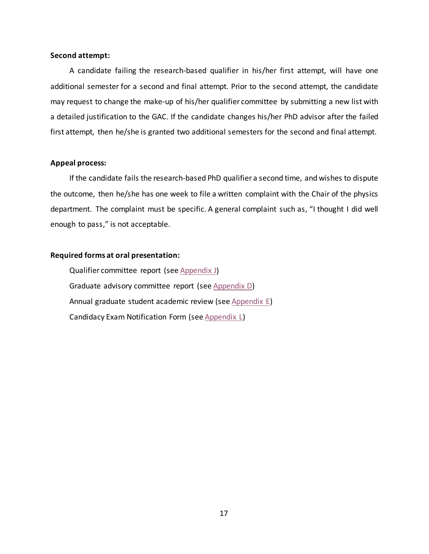#### **Second attempt:**

A candidate failing the research-based qualifier in his/her first attempt, will have one additional semester for a second and final attempt. Prior to the second attempt, the candidate may request to change the make-up of his/her qualifier committee by submitting a new list with a detailed justification to the GAC. If the candidate changes his/her PhD advisor after the failed first attempt, then he/she is granted two additional semesters for the second and final attempt.

### **Appeal process:**

If the candidate fails the research-based PhD qualifier a second time, and wishes to dispute the outcome, then he/she has one week to file a written complaint with the Chair of the physics department. The complaint must be specific. A general complaint such as, "I thought I did well enough to pass," is not acceptable.

### **Required forms at oral presentation:**

Qualifier committee report (se[e Appendix J\)](#page-63-0) Graduate advisory committee report (se[e Appendix D\)](#page-55-0) Annual graduate student academic review (se[e Appendix E\)](#page-56-0) Candidacy Exam Notification Form (se[e Appendix L\)](#page-65-0)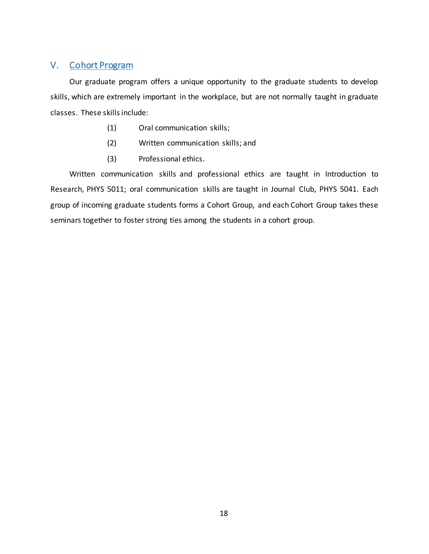### <span id="page-21-0"></span>V. Cohort Program

Our graduate program offers a unique opportunity to the graduate students to develop skills, which are extremely important in the workplace, but are not normally taught in graduate classes. These skills include:

- (1) Oral communication skills;
- (2) Written communication skills; and
- (3) Professional ethics.

Written communication skills and professional ethics are taught in Introduction to Research, PHYS 5011; oral communication skills are taught in Journal Club, PHYS 5041. Each group of incoming graduate students forms a Cohort Group, and each Cohort Group takes these seminars together to foster strong ties among the students in a cohort group.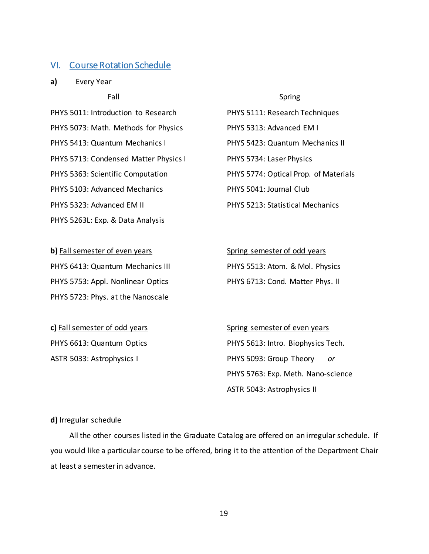### <span id="page-22-0"></span>VI. Course Rotation Schedule

**a)** Every Year

PHYS 5073: Math. Methods for Physics PHYS 5313: Advanced EM I PHYS 5413: Quantum Mechanics I PHYS 5423: Quantum Mechanics II PHYS 5713: Condensed Matter Physics I PHYS 5734: Laser Physics PHYS 5363: Scientific Computation PHYS 5774: Optical Prop. of Materials PHYS 5103: Advanced Mechanics PHYS 5041: Journal Club PHYS 5323: Advanced EM II PHYS 5213: Statistical Mechanics PHYS 5263L: Exp. & Data Analysis

PHYS 6413: Quantum Mechanics III PHYS 5513: Atom. & Mol. Physics PHYS 5753: Appl. Nonlinear Optics PHYS 6713: Cond. Matter Phys. II PHYS 5723: Phys. at the Nanoscale

**c)** Fall semester of odd years Spring semester of even years

### Fall Spring

PHYS 5011: Introduction to Research PHYS 5111: Research Techniques

**b)** Fall semester of even years Spring semester of odd years

PHYS 6613: Quantum Optics **PHYS 5613: Intro. Biophysics Tech.** ASTR 5033: Astrophysics I PHYS 5093: Group Theory *or* PHYS 5763: Exp. Meth. Nano-science ASTR 5043: Astrophysics II

#### **d)** Irregular schedule

All the other courses listed in the Graduate Catalog are offered on an irregular schedule. If you would like a particular course to be offered, bring it to the attention of the Department Chair at least a semester in advance.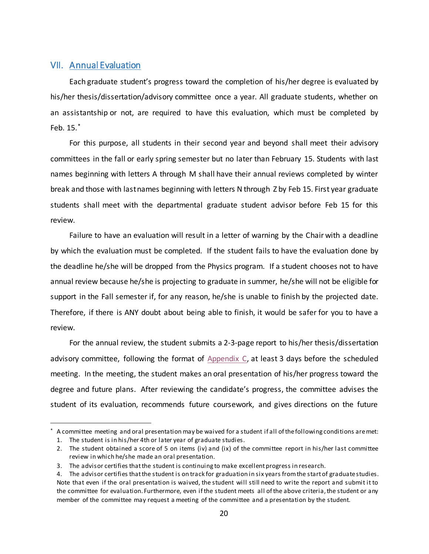### <span id="page-23-0"></span>VII. Annual Evaluation

Each graduate student's progress toward the completion of his/her degree is evaluated by his/her thesis/dissertation/advisory committee once a year. All graduate students, whether on an assistantship or not, are required to have this evaluation, which must be completed by Feb. 15.[\\*](#page-23-1)

For this purpose, all students in their second year and beyond shall meet their advisory committees in the fall or early spring semester but no later than February 15. Students with last names beginning with letters A through M shall have their annual reviews completed by winter break and those with last names beginning with letters N through Z by Feb 15. First year graduate students shall meet with the departmental graduate student advisor before Feb 15 for this review.

Failure to have an evaluation will result in a letter of warning by the Chair with a deadline by which the evaluation must be completed. If the student fails to have the evaluation done by the deadline he/she will be dropped from the Physics program. If a student chooses not to have annual review because he/she is projecting to graduate in summer, he/she will not be eligible for support in the Fall semester if, for any reason, he/she is unable to finish by the projected date. Therefore, if there is ANY doubt about being able to finish, it would be safer for you to have a review.

For the annual review, the student submits a 2-3-page report to his/her thesis/dissertation advisory committee, following the format of  $Appendix C$ , at least 3 days before the scheduled meeting. In the meeting, the student makes an oral presentation of his/her progress toward the degree and future plans. After reviewing the candidate's progress, the committee advises the student of its evaluation, recommends future coursework, and gives directions on the future

<span id="page-23-1"></span> <sup>\*</sup> A committee meeting and oral presentation may be waived for a student if all of the following conditions are met:

<sup>1.</sup> The student is in his/her 4th or later year of graduate studies.

<sup>2.</sup> The student obtained a score of 5 on items (iv) and (ix) of the committee report in his/her last committee review in which he/she made an oral presentation.

<sup>3.</sup> The advisor certifies that the student is continuing to make excellent progress in research.

<sup>4.</sup> The advisor certifies that the student is on track for graduation in six years from the start of graduate studies. Note that even if the oral presentation is waived, the student will still need to write the report and submit it to the committee for evaluation. Furthermore, even if the student meets all of the above criteria, the student or any member of the committee may request a meeting of the committee and a presentation by the student.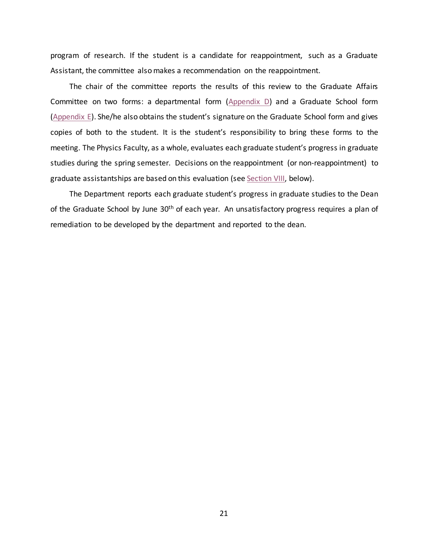program of research. If the student is a candidate for reappointment, such as a Graduate Assistant, the committee also makes a recommendation on the reappointment.

The chair of the committee reports the results of this review to the Graduate Affairs Committee on two forms: a departmental form [\(Appendix D\)](#page-55-0) and a Graduate School form [\(Appendix E\)](#page-56-0). She/he also obtains the student's signature on the Graduate School form and gives copies of both to the student. It is the student's responsibility to bring these forms to the meeting. The Physics Faculty, as a whole, evaluates each graduate student's progress in graduate studies during the spring semester. Decisions on the reappointment (or non-reappointment) to graduate assistantships are based on this evaluation (se[e Section VIII,](#page-25-0) below).

The Department reports each graduate student's progress in graduate studies to the Dean of the Graduate School by June 30<sup>th</sup> of each year. An unsatisfactory progress requires a plan of remediation to be developed by the department and reported to the dean.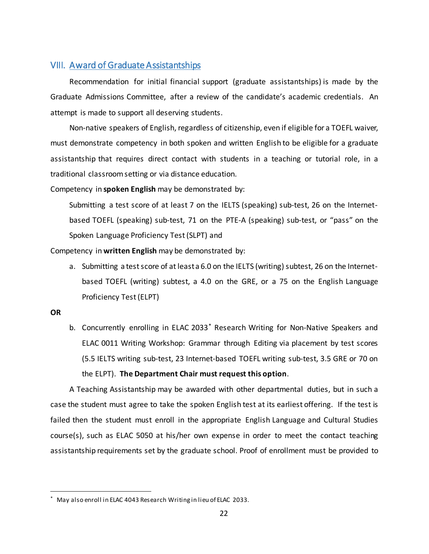### <span id="page-25-0"></span>VIII. Award of Graduate Assistantships

Recommendation for initial financial support (graduate assistantships) is made by the Graduate Admissions Committee, after a review of the candidate's academic credentials. An attempt is made to support all deserving students.

Non-native speakers of English, regardless of citizenship, even if eligible for a TOEFL waiver, must demonstrate competency in both spoken and written English to be eligible for a graduate assistantship that requires direct contact with students in a teaching or tutorial role, in a traditional classroom setting or via distance education.

Competency in **spoken English** may be demonstrated by:

Submitting a test score of at least 7 on the IELTS (speaking) sub-test, 26 on the Internetbased TOEFL (speaking) sub-test, 71 on the PTE-A (speaking) sub-test, or "pass" on the Spoken Language Proficiency Test (SLPT) and

Competency in **written English** may be demonstrated by:

a. Submitting a test score of at least a 6.0 on the IELTS (writing) subtest, 26 on the Internetbased TOEFL (writing) subtest, a 4.0 on the GRE, or a 75 on the English Language Proficiency Test (ELPT)

#### **OR**

b. Concurrently enrolling in ELAC 2033[\\*](#page-25-1) Research Writing for Non-Native Speakers and ELAC 0011 Writing Workshop: Grammar through Editing via placement by test scores (5.5 IELTS writing sub-test, 23 Internet-based TOEFL writing sub-test, 3.5 GRE or 70 on the ELPT). **The Department Chair must request this option**.

A Teaching Assistantship may be awarded with other departmental duties, but in such a case the student must agree to take the spoken English test at its earliest offering. If the test is failed then the student must enroll in the appropriate English Language and Cultural Studies course(s), such as ELAC 5050 at his/her own expense in order to meet the contact teaching assistantship requirements set by the graduate school. Proof of enrollment must be provided to

<span id="page-25-1"></span>May also enroll in ELAC 4043 Research Writing in lieu of ELAC 2033.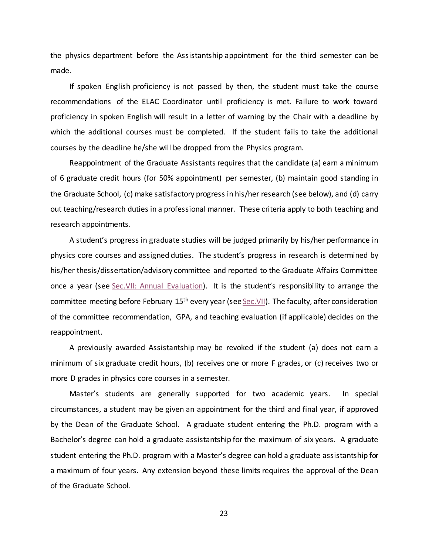the physics department before the Assistantship appointment for the third semester can be made.

If spoken English proficiency is not passed by then, the student must take the course recommendations of the ELAC Coordinator until proficiency is met. Failure to work toward proficiency in spoken English will result in a letter of warning by the Chair with a deadline by which the additional courses must be completed. If the student fails to take the additional courses by the deadline he/she will be dropped from the Physics program.

Reappointment of the Graduate Assistants requires that the candidate (a) earn a minimum of 6 graduate credit hours (for 50% appointment) per semester, (b) maintain good standing in the Graduate School, (c) make satisfactory progress in his/her research (see below), and (d) carry out teaching/research duties in a professional manner. These criteria apply to both teaching and research appointments.

A student's progress in graduate studies will be judged primarily by his/her performance in physics core courses and assigned duties. The student's progress in research is determined by his/her thesis/dissertation/advisory committee and reported to the Graduate Affairs Committee once a year (see [Sec.VII: Annual Evaluation\)](#page-23-0). It is the student's responsibility to arrange the committee meeting before February 15<sup>th</sup> every year (see Sec. VII). The faculty, after consideration of the committee recommendation, GPA, and teaching evaluation (if applicable) decides on the reappointment.

A previously awarded Assistantship may be revoked if the student (a) does not earn a minimum of six graduate credit hours, (b) receives one or more F grades, or (c) receives two or more D grades in physics core courses in a semester.

Master's students are generally supported for two academic years. In special circumstances, a student may be given an appointment for the third and final year, if approved by the Dean of the Graduate School. A graduate student entering the Ph.D. program with a Bachelor's degree can hold a graduate assistantship for the maximum of six years. A graduate student entering the Ph.D. program with a Master's degree can hold a graduate assistantship for a maximum of four years. Any extension beyond these limits requires the approval of the Dean of the Graduate School.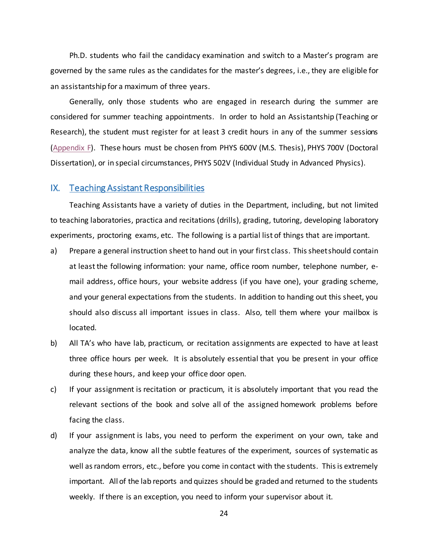Ph.D. students who fail the candidacy examination and switch to a Master's program are governed by the same rules as the candidates for the master's degrees, i.e., they are eligible for an assistantship for a maximum of three years.

Generally, only those students who are engaged in research during the summer are considered for summer teaching appointments. In order to hold an Assistantship (Teaching or Research), the student must register for at least 3 credit hours in any of the summer sessions [\(Appendix F\)](#page-59-0). These hours must be chosen from PHYS 600V (M.S. Thesis), PHYS 700V (Doctoral Dissertation), or in special circumstances, PHYS 502V (Individual Study in Advanced Physics).

### <span id="page-27-0"></span>IX. Teaching Assistant Responsibilities

Teaching Assistants have a variety of duties in the Department, including, but not limited to teaching laboratories, practica and recitations (drills), grading, tutoring, developing laboratory experiments, proctoring exams, etc. The following is a partial list of things that are important.

- a) Prepare a general instruction sheet to hand out in your first class. This sheet should contain at least the following information: your name, office room number, telephone number, email address, office hours, your website address (if you have one), your grading scheme, and your general expectations from the students. In addition to handing out this sheet, you should also discuss all important issues in class. Also, tell them where your mailbox is located.
- b) All TA's who have lab, practicum, or recitation assignments are expected to have at least three office hours per week. It is absolutely essential that you be present in your office during these hours, and keep your office door open.
- c) If your assignment is recitation or practicum, it is absolutely important that you read the relevant sections of the book and solve all of the assigned homework problems before facing the class.
- d) If your assignment is labs, you need to perform the experiment on your own, take and analyze the data, know all the subtle features of the experiment, sources of systematic as well as random errors, etc., before you come in contact with the students. This is extremely important. All of the lab reports and quizzes should be graded and returned to the students weekly. If there is an exception, you need to inform your supervisor about it.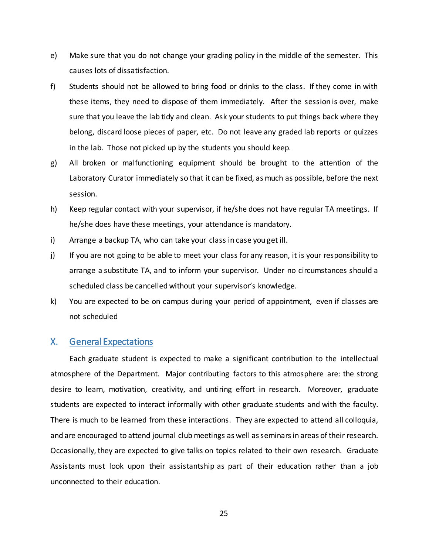- e) Make sure that you do not change your grading policy in the middle of the semester. This causes lots of dissatisfaction.
- f) Students should not be allowed to bring food or drinks to the class. If they come in with these items, they need to dispose of them immediately. After the session is over, make sure that you leave the lab tidy and clean. Ask your students to put things back where they belong, discard loose pieces of paper, etc. Do not leave any graded lab reports or quizzes in the lab. Those not picked up by the students you should keep.
- g) All broken or malfunctioning equipment should be brought to the attention of the Laboratory Curator immediately so that it can be fixed, as much as possible, before the next session.
- h) Keep regular contact with your supervisor, if he/she does not have regular TA meetings. If he/she does have these meetings, your attendance is mandatory.
- i) Arrange a backup TA, who can take your class in case you get ill.
- j) If you are not going to be able to meet your class for any reason, it is your responsibility to arrange a substitute TA, and to inform your supervisor. Under no circumstances should a scheduled class be cancelled without your supervisor's knowledge.
- k) You are expected to be on campus during your period of appointment, even if classes are not scheduled

### <span id="page-28-0"></span>X. General Expectations

Each graduate student is expected to make a significant contribution to the intellectual atmosphere of the Department. Major contributing factors to this atmosphere are: the strong desire to learn, motivation, creativity, and untiring effort in research. Moreover, graduate students are expected to interact informally with other graduate students and with the faculty. There is much to be learned from these interactions. They are expected to attend all colloquia, and are encouraged to attend journal club meetings as well as seminars in areas of their research. Occasionally, they are expected to give talks on topics related to their own research. Graduate Assistants must look upon their assistantship as part of their education rather than a job unconnected to their education.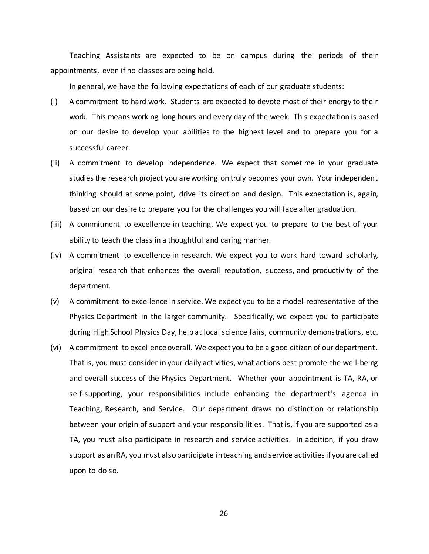Teaching Assistants are expected to be on campus during the periods of their appointments, even if no classes are being held.

In general, we have the following expectations of each of our graduate students:

- (i) A commitment to hard work. Students are expected to devote most of their energy to their work. This means working long hours and every day of the week. This expectation is based on our desire to develop your abilities to the highest level and to prepare you for a successful career.
- (ii) A commitment to develop independence. We expect that sometime in your graduate studies the research project you are working on truly becomes your own. Your independent thinking should at some point, drive its direction and design. This expectation is, again, based on our desire to prepare you for the challenges you will face after graduation.
- (iii) A commitment to excellence in teaching. We expect you to prepare to the best of your ability to teach the class in a thoughtful and caring manner.
- (iv) A commitment to excellence in research. We expect you to work hard toward scholarly, original research that enhances the overall reputation, success, and productivity of the department.
- (v) A commitment to excellence in service. We expect you to be a model representative of the Physics Department in the larger community. Specifically, we expect you to participate during High School Physics Day, help at local science fairs, community demonstrations, etc.
- (vi) A commitment to excellence overall. We expect you to be a good citizen of our department. That is, you must consider in your daily activities, what actions best promote the well-being and overall success of the Physics Department. Whether your appointment is TA, RA, or self-supporting, your responsibilities include enhancing the department's agenda in Teaching, Research, and Service. Our department draws no distinction or relationship between your origin of support and your responsibilities. That is, if you are supported as a TA, you must also participate in research and service activities. In addition, if you draw support as an RA, you must also participate in teaching and service activities if you are called upon to do so.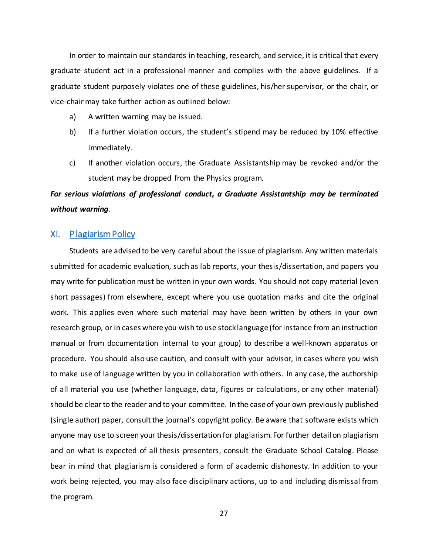In order to maintain our standards in teaching, research, and service, it is critical that every graduate student act in a professional manner and complies with the above guidelines. If a graduate student purposely violates one of these guidelines, his/her supervisor, or the chair, or vice-chair may take further action as outlined below:

- a) A written warning may be issued.
- b) If a further violation occurs, the student's stipend may be reduced by 10% effective immediately.
- c) If another violation occurs, the Graduate Assistantship may be revoked and/or the student may be dropped from the Physics program.

## *For serious violations of professional conduct, a Graduate Assistantship may be terminated without warning*.

### <span id="page-30-0"></span>XI. Plagiarism Policy

Students are advised to be very careful about the issue of plagiarism. Any written materials submitted for academic evaluation, such as lab reports, your thesis/dissertation, and papers you may write for publication must be written in your own words. You should not copy material (even short passages) from elsewhere, except where you use quotation marks and cite the original work. This applies even where such material may have been written by others in your own research group, or in cases where you wish to use stock language (for instance from an instruction manual or from documentation internal to your group) to describe a well-known apparatus or procedure. You should also use caution, and consult with your advisor, in cases where you wish to make use of language written by you in collaboration with others. In any case, the authorship of all material you use (whether language, data, figures or calculations, or any other material) should be clear to the reader and to your committee. In the case of your own previously published (single author) paper, consult the journal's copyright policy. Be aware that software exists which anyone may use to screen your thesis/dissertation for plagiarism. For further detail on plagiarism and on what is expected of all thesis presenters, consult the Graduate School Catalog. Please bear in mind that plagiarism is considered a form of academic dishonesty. In addition to your work being rejected, you may also face disciplinary actions, up to and including dismissal from the program.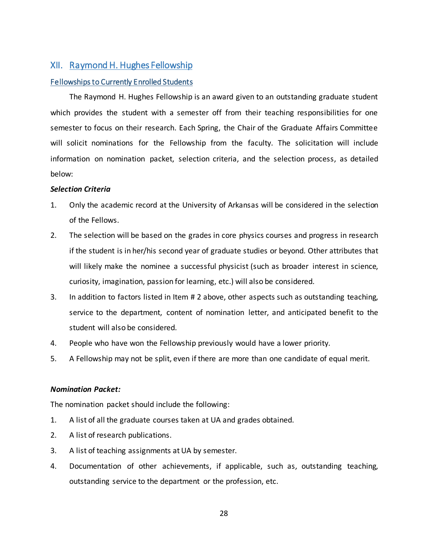### <span id="page-31-0"></span>XII. Raymond H. Hughes Fellowship

#### <span id="page-31-1"></span>Fellowships to Currently Enrolled Students

The Raymond H. Hughes Fellowship is an award given to an outstanding graduate student which provides the student with a semester off from their teaching responsibilities for one semester to focus on their research. Each Spring, the Chair of the Graduate Affairs Committee will solicit nominations for the Fellowship from the faculty. The solicitation will include information on nomination packet, selection criteria, and the selection process, as detailed below:

#### *Selection Criteria*

- 1. Only the academic record at the University of Arkansas will be considered in the selection of the Fellows.
- 2. The selection will be based on the grades in core physics courses and progress in research if the student is in her/his second year of graduate studies or beyond. Other attributes that will likely make the nominee a successful physicist (such as broader interest in science, curiosity, imagination, passion for learning, etc.) will also be considered.
- 3. In addition to factors listed in Item # 2 above, other aspects such as outstanding teaching, service to the department, content of nomination letter, and anticipated benefit to the student will also be considered.
- 4. People who have won the Fellowship previously would have a lower priority.
- 5. A Fellowship may not be split, even if there are more than one candidate of equal merit.

### *Nomination Packet:*

The nomination packet should include the following:

- 1. A list of all the graduate courses taken at UA and grades obtained.
- 2. A list of research publications.
- 3. A list of teaching assignments at UA by semester.
- 4. Documentation of other achievements, if applicable, such as, outstanding teaching, outstanding service to the department or the profession, etc.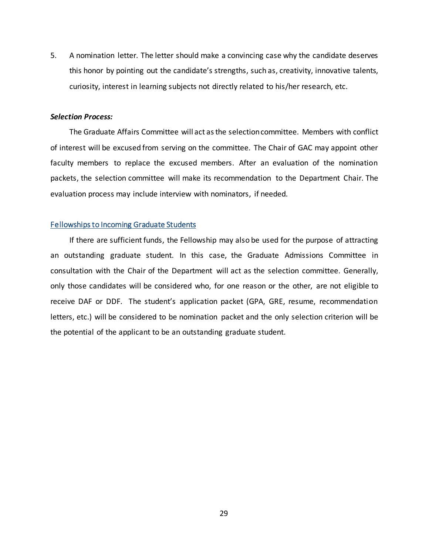5. A nomination letter. The letter should make a convincing case why the candidate deserves this honor by pointing out the candidate's strengths, such as, creativity, innovative talents, curiosity, interest in learning subjects not directly related to his/her research, etc.

### *Selection Process:*

The Graduate Affairs Committee will act as the selection committee. Members with conflict of interest will be excused from serving on the committee. The Chair of GAC may appoint other faculty members to replace the excused members. After an evaluation of the nomination packets, the selection committee will make its recommendation to the Department Chair. The evaluation process may include interview with nominators, if needed.

### <span id="page-32-0"></span>Fellowships to Incoming Graduate Students

If there are sufficient funds, the Fellowship may also be used for the purpose of attracting an outstanding graduate student. In this case, the Graduate Admissions Committee in consultation with the Chair of the Department will act as the selection committee. Generally, only those candidates will be considered who, for one reason or the other, are not eligible to receive DAF or DDF. The student's application packet (GPA, GRE, resume, recommendation letters, etc.) will be considered to be nomination packet and the only selection criterion will be the potential of the applicant to be an outstanding graduate student.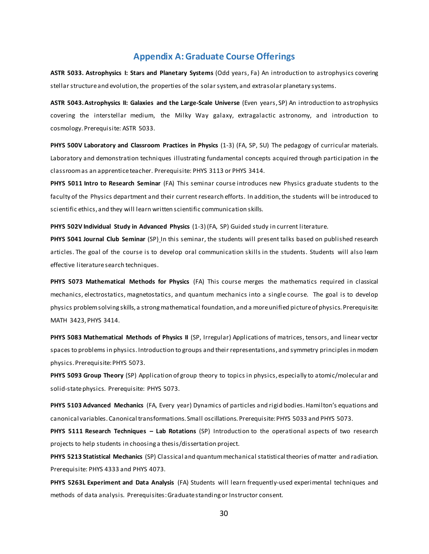### **Appendix A: Graduate Course Offerings**

<span id="page-33-0"></span>**ASTR 5033. Astrophysics I: Stars and Planetary Systems** (Odd years, Fa) An introduction to astrophysics covering stellar structure and evolution, the properties of the solar system, and extrasolar planetary systems.

**ASTR 5043. Astrophysics II: Galaxies and the Large-Scale Universe** (Even years, SP) An introduction to astrophysics covering the interstellar medium, the Milky Way galaxy, extragalactic astronomy, and introduction to cosmology. Prerequisite: ASTR 5033.

**PHYS 500V Laboratory and Classroom Practices in Physics** (1-3) (FA, SP, SU) The pedagogy of curricular materials. Laboratory and demonstration techniques illustrating fundamental concepts acquired through participation in the classroom as an apprentice teacher. Prerequisite: PHYS 3113 or PHYS 3414.

**PHYS 5011 Intro to Research Seminar** (FA) This seminar course introduces new Physics graduate students to the faculty of the Physics department and their current research efforts. In addition, the students will be introduced to scientific ethics, and they will learn written scientific communication skills.

**PHYS 502V Individual Study in Advanced Physics** (1-3) (FA, SP) Guided study in current literature.

**PHYS 5041 Journal Club Seminar** (SP) In this seminar, the students will present talks based on published research articles. The goal of the course is to develop oral communication skills in the students. Students will also learn effective literature search techniques.

**PHYS 5073 Mathematical Methods for Physics** (FA) This course merges the mathematics required in classical mechanics, electrostatics, magnetostatics, and quantum mechanics into a single course. The goal is to develop physics problemsolving skills, a strong mathematical foundation, and a more unified picture of physics. Prerequisite: MATH 3423, PHYS 3414.

**PHYS 5083 Mathematical Methods of Physics II** (SP, Irregular) Applications of matrices, tensors, and linear vector spaces to problems in physics. Introduction to groups and their representations, and symmetry principles in modern physics. Prerequisite: PHYS 5073.

**PHYS 5093 Group Theory** (SP) Application of group theory to topics in physics, especially to atomic/molecular and solid-state physics. Prerequisite: PHYS 5073.

**PHYS 5103 Advanced Mechanics** (FA, Every year) Dynamics of particles and rigid bodies. Hamilton's equations and canonical variables. Canonical transformations. Small oscillations. Prerequisite: PHYS 5033 and PHYS 5073.

**PHYS 5111 Research Techniques – Lab Rotations** (SP) Introduction to the operational aspects of two research projects to help students in choosing a thesis/dissertation project.

**PHYS 5213 Statistical Mechanics** (SP) Classical and quantum mechanical statistical theories of matter and radiation. Prerequisite: PHYS 4333 and PHYS 4073.

**PHYS 5263L Experiment and Data Analysis** (FA) Students will learn frequently-used experimental techniques and methods of data analysis. Prerequisites: Graduate standing or Instructor consent.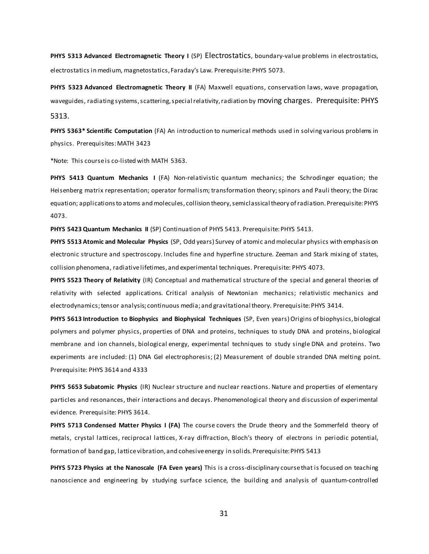**PHYS 5313 Advanced Electromagnetic Theory I** (SP) Electrostatics, boundary-value problems in electrostatics, electrostatics in medium, magnetostatics, Faraday's Law. Prerequisite: PHYS 5073.

**PHYS 5323 Advanced Electromagnetic Theory II** (FA) Maxwell equations, conservation laws, wave propagation, waveguides, radiating systems, scattering, special relativity, radiation by moving charges. Prerequisite: PHYS 5313.

**PHYS 5363\* Scientific Computation** (FA) An introduction to numerical methods used in solving various problems in physics. Prerequisites: MATH 3423

\*Note: This course is co-listed with MATH 5363.

**PHYS 5413 Quantum Mechanics I** (FA) Non-relativistic quantum mechanics; the Schrodinger equation; the Heisenberg matrix representation; operator formalism; transformation theory; spinors and Pauli theory; the Dirac equation; applications to atoms and molecules, collision theory, semiclassical theory of radiation. Prerequisite: PHYS 4073.

**PHYS 5423 Quantum Mechanics II** (SP) Continuation of PHYS 5413. Prerequisite: PHYS 5413.

**PHYS 5513 Atomic and Molecular Physics** (SP, Odd years) Survey of atomic and molecular physics with emphasis on electronic structure and spectroscopy. Includes fine and hyperfine structure. Zeeman and Stark mixing of states, collision phenomena, radiative lifetimes, and experimental techniques. Prerequisite: PHYS 4073.

**PHYS 5523 Theory of Relativity** (IR) Conceptual and mathematical structure of the special and general theories of relativity with selected applications. Critical analysis of Newtonian mechanics; relativistic mechanics and electrodynamics; tensor analysis; continuous media; and gravitational theory. Prerequisite: PHYS 3414.

**PHYS 5613 Introduction to Biophysics and Biophysical Techniques** (SP, Even years) Origins of biophysics, biological polymers and polymer physics, properties of DNA and proteins, techniques to study DNA and proteins, biological membrane and ion channels, biological energy, experimental techniques to study single DNA and proteins. Two experiments are included: (1) DNA Gel electrophoresis; (2) Measurement of double stranded DNA melting point. Prerequisite: PHYS 3614 and 4333

**PHYS 5653 Subatomic Physics** (IR) Nuclear structure and nuclear reactions. Nature and properties of elementary particles and resonances, their interactions and decays. Phenomenological theory and discussion of experimental evidence. Prerequisite: PHYS 3614.

PHYS 5713 Condensed Matter Physics I (FA) The course covers the Drude theory and the Sommerfeld theory of metals, crystal lattices, reciprocal lattices, X-ray diffraction, Bloch's theory of electrons in periodic potential, formation of band gap, lattice vibration, and cohesive energy in solids. Prerequisite: PHYS 5413

**PHYS 5723 Physics at the Nanoscale (FA Even years)** This is a cross-disciplinary course that is focused on teaching nanoscience and engineering by studying surface science, the building and analysis of quantum-controlled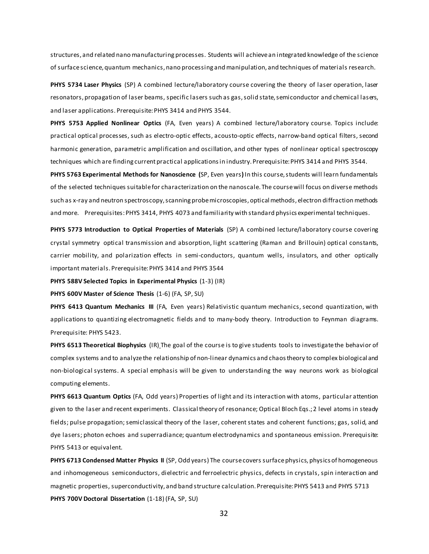structures, and related nano manufacturing processes. Students will achieve an integrated knowledge of the science of surface science, quantum mechanics, nano processing and manipulation, and techniques of materials research.

**PHYS 5734 Laser Physics** (SP) A combined lecture/laboratory course covering the theory of laser operation, laser resonators, propagation of laser beams, specific lasers such as gas, solid state, semiconductor and chemical lasers, and laser applications. Prerequisite: PHYS 3414 and PHYS 3544.

**PHYS 5753 Applied Nonlinear Optics** (FA, Even years) A combined lecture/laboratory course. Topics include: practical optical processes, such as electro-optic effects, acousto-optic effects, narrow-band optical filters, second harmonic generation, parametric amplification and oscillation, and other types of nonlinear optical spectroscopy techniques which are finding current practical applications in industry. Prerequisite: PHYS 3414 and PHYS 3544.

**PHYS 5763 Experimental Methods for Nanoscience (**SP, Even years**)** In this course, students will learn fundamentals of the selected techniques suitable for characterization on the nanoscale. The course will focus on diverse methods such as x-ray and neutron spectroscopy, scanning probe microscopies, optical methods, electron diffraction methods and more. Prerequisites: PHYS 3414, PHYS 4073 and familiarity with standard physics experimental techniques.

**PHYS 5773 Introduction to Optical Properties of Materials** (SP) A combined lecture/laboratory course covering crystal symmetry optical transmission and absorption, light scattering (Raman and Brillouin) optical constants, carrier mobility, and polarization effects in semi-conductors, quantum wells, insulators, and other optically important materials. Prerequisite: PHYS 3414 and PHYS 3544

**PHYS 588V Selected Topics in Experimental Physics** (1-3) (IR)

**PHYS 600V Master of Science Thesis** (1-6) (FA, SP, SU)

**PHYS 6413 Quantum Mechanics III** (FA, Even years) Relativistic quantum mechanics, second quantization, with applications to quantizing electromagnetic fields and to many-body theory. Introduction to Feynman diagrams. Prerequisite: PHYS 5423.

**PHYS 6513 Theoretical Biophysics** (IR) The goal of the course is to give students tools to investigate the behavior of complex systems and to analyze the relationship of non-linear dynamics and chaos theory to complex biological and non-biological systems. A special emphasis will be given to understanding the way neurons work as biological computing elements.

**PHYS 6613 Quantum Optics** (FA, Odd years) Properties of light and its interaction with atoms, particular attention given to the laser and recent experiments. Classical theory of resonance; Optical Bloch Eqs.; 2 level atoms in steady fields; pulse propagation; semiclassical theory of the laser, coherent states and coherent functions; gas, solid, and dye lasers; photon echoes and superradiance; quantum electrodynamics and spontaneous emission. Prerequisite: PHYS 5413 or equivalent.

**PHYS 6713 Condensed Matter Physics II** (SP, Odd years) The course covers surface physics, physics of homogeneous and inhomogeneous semiconductors, dielectric and ferroelectric physics, defects in crystals, spin interaction and magnetic properties, superconductivity, and band structure calculation. Prerequisite: PHYS 5413 and PHYS 5713 **PHYS 700V Doctoral Dissertation** (1-18) (FA, SP, SU)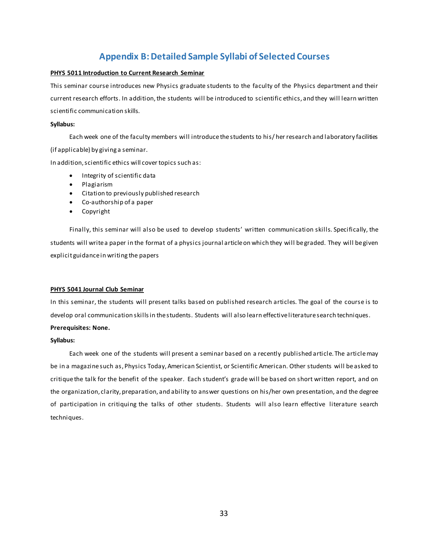### **Appendix B: Detailed Sample Syllabi of Selected Courses**

#### <span id="page-36-0"></span>**PHYS 5011 Introduction to Current Research Seminar**

This seminar course introduces new Physics graduate students to the faculty of the Physics department and their current research efforts. In addition, the students will be introduced to scientific ethics, and they will learn written scientific communication skills.

#### **Syllabus:**

Each week one of the faculty members will introduce the students to his/ her research and laboratory facilities (if applicable) by giving a seminar.

In addition, scientific ethics will cover topics such as:

- Integrity of scientific data
- Plagiarism
- Citation to previously published research
- Co-authorship of a paper
- Copyright

Finally, this seminar will also be used to develop students' written communication skills. Specifically, the students will write a paper in the format of a physics journal article on which they will be graded. They will be given explicit guidance in writing the papers

#### **PHYS 5041 Journal Club Seminar**

In this seminar, the students will present talks based on published research articles. The goal of the course is to develop oral communication skills in the students. Students will also learn effective literature search techniques. **Prerequisites: None.**

#### **Syllabus:**

Each week one of the students will present a seminar based on a recently published article. The article may be in a magazine such as, Physics Today, American Scientist, or Scientific American. Other students will be asked to critique the talk for the benefit of the speaker. Each student's grade will be based on short written report, and on the organization, clarity, preparation, and ability to answer questions on his/her own presentation, and the degree of participation in critiquing the talks of other students. Students will also learn effective literature search techniques.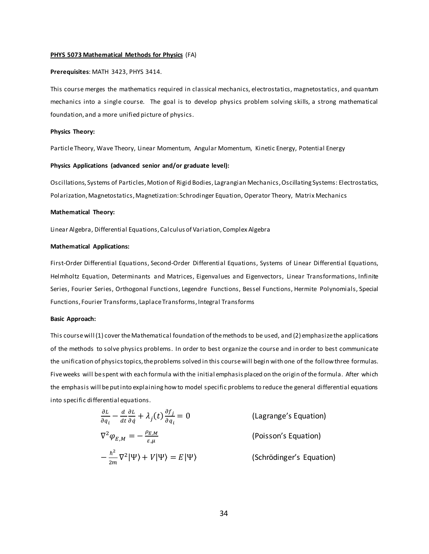#### **PHYS 5073 Mathematical Methods for Physics** (FA)

#### **Prerequisites**: MATH 3423, PHYS 3414.

This course merges the mathematics required in classical mechanics, electrostatics, magnetostatics, and quantum mechanics into a single course. The goal is to develop physics problem solving skills, a strong mathematical foundation, and a more unified picture of physics.

#### **Physics Theory:**

Particle Theory, Wave Theory, Linear Momentum, Angular Momentum, Kinetic Energy, Potential Energy

#### **Physics Applications (advanced senior and/or graduate level):**

Oscillations, Systems of Particles, Motion of Rigid Bodies, Lagrangian Mechanics, Oscillating Systems: Electrostatics, Polarization, Magnetostatics, Magnetization: Schrodinger Equation, Operator Theory, Matrix Mechanics

#### **Mathematical Theory:**

Linear Algebra, Differential Equations, Calculus of Variation, Complex Algebra

#### **Mathematical Applications:**

First-Order Differential Equations, Second-Order Differential Equations, Systems of Linear Differential Equations, Helmholtz Equation, Determinants and Matrices, Eigenvalues and Eigenvectors, Linear Transformations, Infinite Series, Fourier Series, Orthogonal Functions, Legendre Functions, Bessel Functions, Hermite Polynomials, Special Functions, Fourier Transforms, Laplace Transforms, Integral Transforms

#### **Basic Approach:**

This course will (1) cover the Mathematical foundation of the methods to be used, and (2) emphasize the applications of the methods to solve physics problems. In order to best organize the course and in order to best communicate the unification of physics topics, the problems solved in this course will begin with one of the follow three formulas. Five weeks will be spent with each formula with the initial emphasis placed on the origin of the formula. After which the emphasis will be put into explaining how to model specific problems to reduce the general differential equations into specific differential equations.

$$
\frac{\partial L}{\partial q_i} - \frac{d}{dt} \frac{\partial L}{\partial q} + \lambda_j(t) \frac{\partial f_j}{\partial q_i} = 0
$$
 (Lagrange's Equation)  

$$
\nabla^2 \varphi_{E,M} = -\frac{\rho_{E,M}}{\varepsilon_{,\mu}}
$$
 (Poisson's Equation)  

$$
-\frac{\hbar^2}{2m} \nabla^2 |\Psi\rangle + V |\Psi\rangle = E |\Psi\rangle
$$
 (Schrödinger's Equation)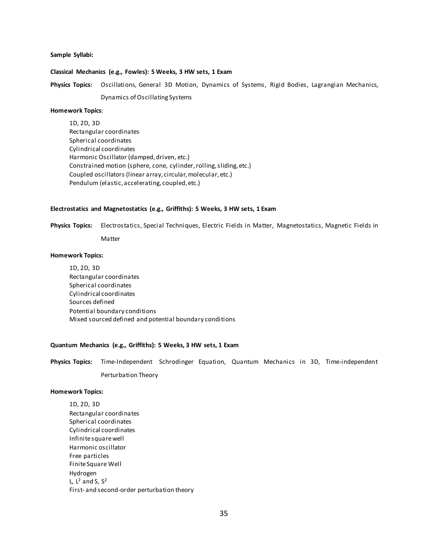#### **Sample Syllabi:**

#### **Classical Mechanics (e.g., Fowles): 5 Weeks, 3 HW sets, 1 Exam**

**Physics Topics:** Oscillations, General 3D Motion, Dynamics of Systems, Rigid Bodies, Lagrangian Mechanics,

Dynamics of Oscillating Systems

#### **Homework Topics**:

1D, 2D, 3D Rectangular coordinates Spherical coordinates Cylindrical coordinates Harmonic Oscillator (damped, driven, etc.) Constrained motion (sphere, cone, cylinder, rolling, sliding, etc.) Coupled oscillators (linear array, circular, molecular, etc.) Pendulum (elastic, accelerating, coupled, etc.)

#### **Electrostatics and Magnetostatics (e.g., Griffiths): 5 Weeks, 3 HW sets, 1 Exam**

**Physics Topics:** Electrostatics, Special Techniques, Electric Fields in Matter, Magnetostatics, Magnetic Fields in

Matter

#### **Homework Topics:**

1D, 2D, 3D Rectangular coordinates Spherical coordinates Cylindrical coordinates Sources defined Potential boundary conditions Mixed sourced defined and potential boundary conditions

#### **Quantum Mechanics (e.g., Griffiths): 5 Weeks, 3 HW sets, 1 Exam**

**Physics Topics:** Time-Independent Schrodinger Equation, Quantum Mechanics in 3D, Time-independent Perturbation Theory

#### **Homework Topics:**

1D, 2D, 3D Rectangular coordinates Spherical coordinates Cylindrical coordinates Infinite square well Harmonic oscillator Free particles Finite Square Well Hydrogen L,  $L^2$  and S,  $S^2$ First- and second-order perturbation theory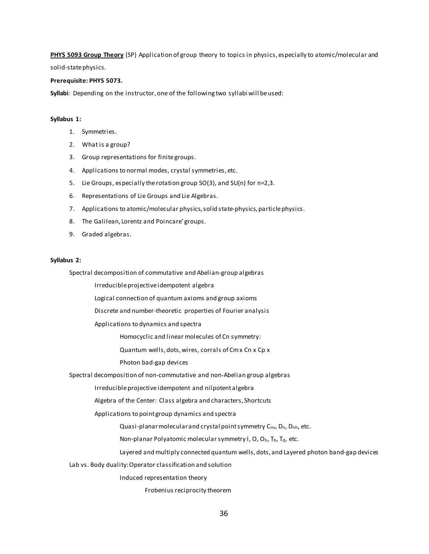**PHYS 5093 Group Theory** (SP) Application of group theory to topics in physics, especially to atomic/molecular and

solid-state physics.

#### **Prerequisite: PHYS 5073.**

**Syllabi**: Depending on the instructor, one of the following two syllabi will be used:

#### **Syllabus 1:**

- 1. Symmetries.
- 2. What is a group?
- 3. Group representations for finite groups.
- 4. Applications to normal modes, crystal symmetries, etc.
- 5. Lie Groups, especially the rotation group SO(3), and SU(n) for n=2,3.
- 6. Representations of Lie Groups and Lie Algebras.
- 7. Applications to atomic/molecular physics, solid state-physics, particle physics.
- 8. The Galilean, Lorentz and Poincare' groups.
- 9. Graded algebras.

#### **Syllabus 2:**

Spectral decomposition of commutative and Abelian-group algebras

Irreducible projective idempotent algebra

Logical connection of quantum axioms and group axioms

Discrete and number-theoretic properties of Fourier analysis

Applications to dynamics and spectra

Homocyclic and linear molecules of Cn symmetry:

Quantum wells, dots, wires, corrals of Cm x Cn x Cp x

Photon bad-gap devices

Spectral decomposition of non-commutative and non-Abelian group algebras

Irreducible projective idempotent and nilpotent algebra

Algebra of the Center: Class algebra and characters, Shortcuts

Applications to point group dynamics and spectra

Quasi-planar molecular and crystal point symmetry C<sub>nv</sub>, D<sub>n</sub>, D<sub>nh</sub>, etc.

Non-planar Polyatomic molecular symmetry I, O, Oh, Th, Td, etc.

Layered and multiply connected quantum wells, dots, and Layered photon band-gap devices

Lab vs. Body duality: Operator classification and solution

Induced representation theory

Frobenius reciprocity theorem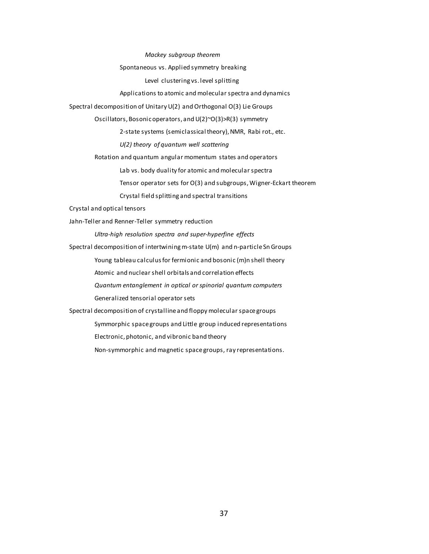*Mackey subgroup theorem*

Spontaneous vs. Applied symmetry breaking

Level clustering vs. level splitting

Applications to atomic and molecular spectra and dynamics

Spectral decomposition of Unitary U(2) and Orthogonal O(3) Lie Groups

Oscillators, Bosonic operators, and U(2)~O(3)>R(3) symmetry

2-state systems (semiclassical theory), NMR, Rabi rot., etc.

*U(2) theory of quantum well scattering*

Rotation and quantum angular momentum states and operators

Lab vs. body duality for atomic and molecular spectra

Tensor operator sets for O(3) and subgroups, Wigner-Eckart theorem

Crystal field splitting and spectral transitions

Crystal and optical tensors

Jahn-Teller and Renner-Teller symmetry reduction

*Ultra-high resolution spectra and super-hyperfine effects*

Spectral decomposition of intertwining m-state U(m) and n-particle Sn Groups

Young tableau calculus for fermionic and bosonic (m)n shell theory

Atomic and nuclear shell orbitals and correlation effects

*Quantum entanglement in optical or spinorial quantum computers*

Generalized tensorial operator sets

Spectral decomposition of crystalline and floppy molecular space groups

Symmorphic space groups and Little group induced representations

Electronic, photonic, and vibronic band theory

Non-symmorphic and magnetic space groups, ray representations.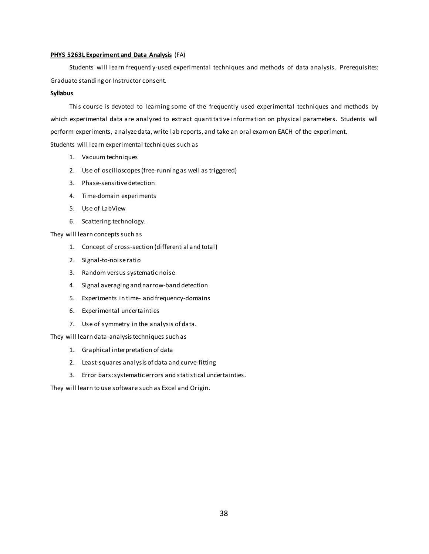#### **PHYS 5263L Experiment and Data Analysis** (FA)

Students will learn frequently-used experimental techniques and methods of data analysis. Prerequisites: Graduate standing or Instructor consent.

#### **Syllabus**

This course is devoted to learning some of the frequently used experimental techniques and methods by which experimental data are analyzed to extract quantitative information on physical parameters. Students will perform experiments, analyze data, write lab reports, and take an oral exam on EACH of the experiment. Students will learn experimental techniques such as

- 1. Vacuum techniques
- 2. Use of oscilloscopes (free-running as well as triggered)
- 3. Phase-sensitive detection
- 4. Time-domain experiments
- 5. Use of LabView
- 6. Scattering technology.

They will learn concepts such as

- 1. Concept of cross-section (differential and total)
- 2. Signal-to-noise ratio
- 3. Random versus systematic noise
- 4. Signal averaging and narrow-band detection
- 5. Experiments in time- and frequency-domains
- 6. Experimental uncertainties
- 7. Use of symmetry in the analysis of data.

They will learn data-analysis techniques such as

- 1. Graphical interpretation of data
- 2. Least-squares analysis of data and curve-fitting
- 3. Error bars: systematic errors and statistical uncertainties.

They will learn to use software such as Excel and Origin.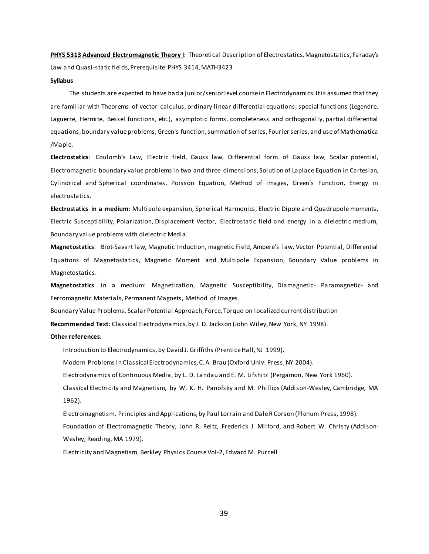**PHYS 5313 Advanced Electromagnetic Theory I**: Theoretical Description of Electrostatics, Magnetostatics, Faraday's Law and Quasi-static fields, Prerequisite: PHYS 3414, MATH3423

#### **Syllabus**

The students are expected to have had a junior/senior level course in Electrodynamics. It is assumed that they are familiar with Theorems of vector calculus, ordinary linear differential equations, special functions (Legendre, Laguerre, Hermite, Bessel functions, etc.), asymptotic forms, completeness and orthogonally, partial differential equations, boundary value problems, Green's function, summation of series, Fourier series, and use of Mathematica /Maple.

**Electrostatics**: Coulomb's Law, Electric field, Gauss law, Differential form of Gauss law, Scalar potential, Electromagnetic boundary value problems in two and three dimensions, Solution of Laplace Equation in Cartesian, Cylindrical and Spherical coordinates, Poisson Equation, Method of images, Green's Function, Energy in electrostatics.

**Electrostatics in a medium**: Multipole expansion, Spherical Harmonics, Electric Dipole and Quadrupole moments, Electric Susceptibility, Polarization, Displacement Vector, Electrostatic field and energy in a dielectric medium, Boundary value problems with dielectric Media.

**Magnetostatics**: Biot-Savart law, Magnetic Induction, magnetic Field, Ampere's law, Vector Potential, Differential Equations of Magnetostatics, Magnetic Moment and Multipole Expansion, Boundary Value problems in Magnetostatics.

**Magnetostatics** in a medium: Magnetization, Magnetic Susceptibility, Diamagnetic- Paramagnetic- and Ferromagnetic Materials, Permanent Magnets, Method of Images.

Boundary Value Problems, Scalar Potential Approach, Force, Torque on localized current distribution

**Recommended Text**: Classical Electrodynamics, by J. D. Jackson (John Wiley, New York, NY 1998).

#### **Other references**:

Introduction to Electrodynamics, by David J. Griffiths (Prentice Hall, NJ 1999).

Modern Problems in Classical Electrodynamics, C. A. Brau (Oxford Univ. Press, NY 2004).

Electrodynamics of Continuous Media, by L. D. Landau and E. M. Lifshitz (Pergamon, New York 1960).

Classical Electricity and Magnetism, by W. K. H. Panofsky and M. Phillips (Addison-Wesley, Cambridge, MA 1962).

Electromagnetism, Principles and Applications, by Paul Lorrain and Dale R Corson (Plenum Press, 1998). Foundation of Electromagnetic Theory, John R. Reitz, Frederick J. Milford, and Robert W. Christy (Addison-Wesley, Reading, MA 1979).

Electricity and Magnetism, Berkley Physics Course Vol-2, Edward M. Purcell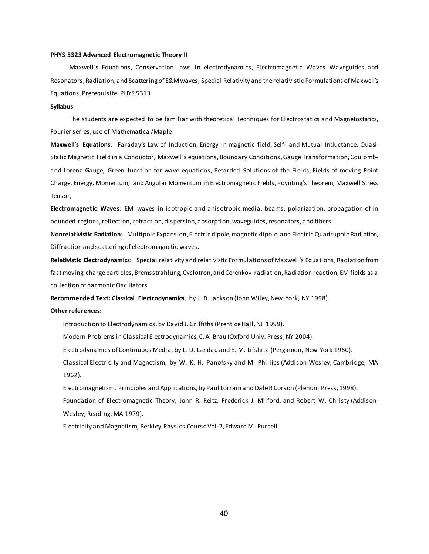#### **PHYS 5323 Advanced Electromagnetic Theory II**

Maxwell's Equations, Conservation Laws in electrodynamics, Electromagnetic Waves Waveguides and Resonators, Radiation, and Scattering of E&M waves, Special Relativity and the relativistic Formulations of Maxwell's Equations, Prerequisite: PHYS 5313

#### **Syllabus**

The students are expected to be familiar with theoretical Techniques for Electrostatics and Magnetostatics, Fourier series, use of Mathematica /Maple

**Maxwell's Equations**: Faraday's Law of Induction, Energy in magnetic field, Self- and Mutual Inductance, Quasi-Static Magnetic Field in a Conductor, Maxwell's equations, Boundary Conditions, Gauge Transformation, Coulomband Lorenz Gauge, Green function for wave equations, Retarded Solutions of the Fields, Fields of moving Point Charge, Energy, Momentum, and Angular Momentum in Electromagnetic Fields, Poynting's Theorem, Maxwell Stress Tensor,

**Electromagnetic Waves**: EM waves in isotropic and anisotropic media, beams, polarization, propagation of in bounded regions, reflection, refraction, dispersion, absorption, waveguides, resonators, and fibers.

**Nonrelativistic Radiation**: Multipole Expansion, Electric dipole, magnetic dipole, and Electric Quadrupole Radiation, Diffraction and scattering of electromagnetic waves.

**Relativistic Electrodynamics**: Special relativity and relativistic Formulations of Maxwell's Equations,Radiation from fast moving charge particles, Bremsstrahlung, Cyclotron, and Cerenkov radiation, Radiation reaction, EM fields as a collection of harmonic Oscillators.

**Recommended Text: Classical Electrodynamics**, by J. D. Jackson (John Wiley, New York, NY 1998).

#### **Other references:**

Introduction to Electrodynamics, by David J. Griffiths (Prentice Hall, NJ 1999).

Modern Problems in Classical Electrodynamics, C. A. Brau (Oxford Univ. Press, NY 2004).

Electrodynamics of Continuous Media, by L. D. Landau and E. M. Lifshitz (Pergamon, New York 1960).

Classical Electricity and Magnetism, by W. K. H. Panofsky and M. Phillips (Addison-Wesley, Cambridge, MA 1962).

Electromagnetism, Principles and Applications, by Paul Lorrain and Dale R Corson (Plenum Press, 1998). Foundation of Electromagnetic Theory, John R. Reitz, Frederick J. Milford, and Robert W. Christy (Addison-Wesley, Reading, MA 1979).

Electricity and Magnetism, Berkley Physics Course Vol-2, Edward M. Purcell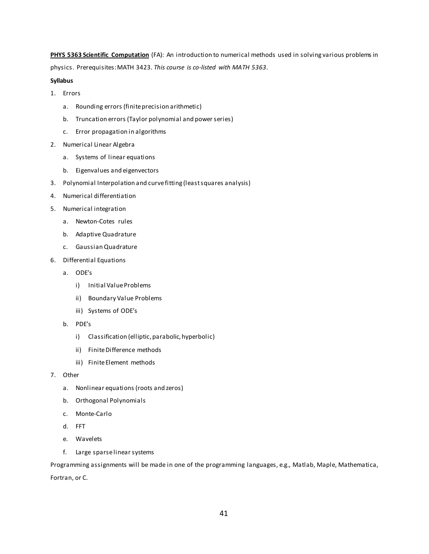**PHYS 5363 Scientific Computation** (FA): An introduction to numerical methods used in solving various problems in physics. Prerequisites: MATH 3423. *This course is co-listed with MATH 5363*.

#### **Syllabus**

- 1. Errors
	- a. Rounding errors (finite precision arithmetic)
	- b. Truncation errors (Taylor polynomial and power series)
	- c. Error propagation in algorithms
- 2. Numerical Linear Algebra
	- a. Systems of linear equations
	- b. Eigenvalues and eigenvectors
- 3. Polynomial Interpolation and curve fitting (least squares analysis)
- 4. Numerical differentiation
- 5. Numerical integration
	- a. Newton-Cotes rules
	- b. Adaptive Quadrature
	- c. Gaussian Quadrature
- 6. Differential Equations
	- a. ODE's
		- i) Initial Value Problems
		- ii) Boundary Value Problems
		- iii) Systems of ODE's
	- b. PDE's
		- i) Classification (elliptic, parabolic, hyperbolic)
		- ii) Finite Difference methods
		- iii) Finite Element methods
- 7. Other
	- a. Nonlinear equations (roots and zeros)
	- b. Orthogonal Polynomials
	- c. Monte-Carlo
	- d. FFT
	- e. Wavelets
	- f. Large sparse linear systems

Programming assignments will be made in one of the programming languages, e.g., Matlab, Maple, Mathematica, Fortran, or C.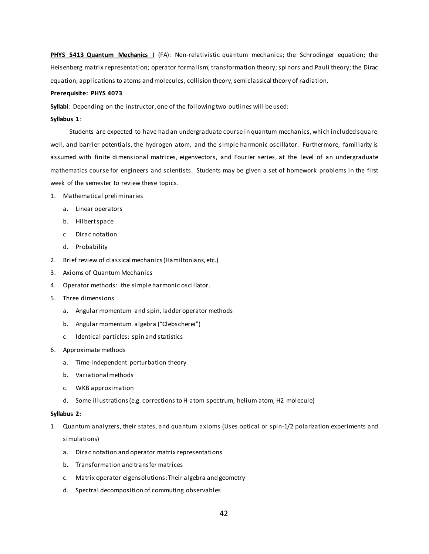**PHYS 5413 Quantum Mechanics I** (FA): Non-relativistic quantum mechanics; the Schrodinger equation; the Heisenberg matrix representation; operator formalism; transformation theory; spinors and Pauli theory; the Dirac equation; applications to atoms and molecules, collision theory, semiclassical theory of radiation.

#### **Prerequisite: PHYS 4073**

**Syllabi**: Depending on the instructor, one of the following two outlines will be used:

#### **Syllabus 1**:

Students are expected to have had an undergraduate course in quantum mechanics, which included squarewell, and barrier potentials, the hydrogen atom, and the simple harmonic oscillator. Furthermore, familiarity is assumed with finite dimensional matrices, eigenvectors, and Fourier series, at the level of an undergraduate mathematics course for engineers and scientists. Students may be given a set of homework problems in the first week of the semester to review these topics.

- 1. Mathematical preliminaries
	- a. Linear operators
	- b. Hilbert space
	- c. Dirac notation
	- d. Probability
- 2. Brief review of classical mechanics (Hamiltonians, etc.)
- 3. Axioms of Quantum Mechanics
- 4. Operator methods: the simple harmonic oscillator.
- 5. Three dimensions
	- a. Angular momentum and spin, ladder operator methods
	- b. Angular momentum algebra ("Clebscherei")
	- c. Identical particles: spin and statistics
- 6. Approximate methods
	- a. Time-independent perturbation theory
	- b. Variational methods
	- c. WKB approximation
	- d. Some illustrations (e.g. corrections to H-atom spectrum, helium atom, H2 molecule)

#### **Syllabus 2:**

- 1. Quantum analyzers, their states, and quantum axioms (Uses optical or spin-1/2 polarization experiments and simulations)
	- a. Dirac notation and operator matrix representations
	- b. Transformation and transfer matrices
	- c. Matrix operator eigensolutions: Their algebra and geometry
	- d. Spectral decomposition of commuting observables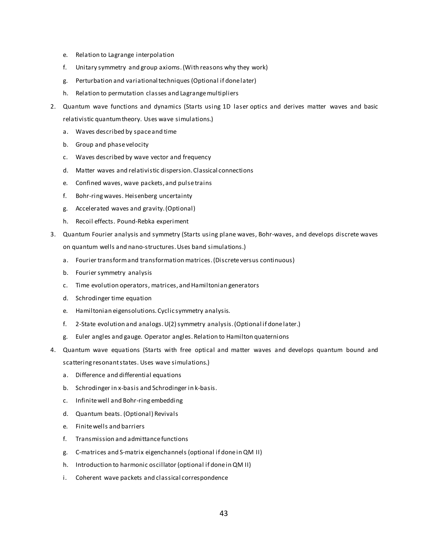- e. Relation to Lagrange interpolation
- f. Unitary symmetry and group axioms. (With reasons why they work)
- g. Perturbation and variational techniques (Optional if done later)
- h. Relation to permutation classes and Lagrange multipliers
- 2. Quantum wave functions and dynamics (Starts using 1D laser optics and derives matter waves and basic relativistic quantum theory. Uses wave simulations.)
	- a. Waves described by space and time
	- b. Group and phase velocity
	- c. Waves described by wave vector and frequency
	- d. Matter waves and relativistic dispersion. Classical connections
	- e. Confined waves, wave packets, and pulse trains
	- f. Bohr-ring waves. Heisenberg uncertainty
	- g. Accelerated waves and gravity. (Optional)
	- h. Recoil effects. Pound-Rebka experiment
- 3. Quantum Fourier analysis and symmetry (Starts using plane waves, Bohr-waves, and develops discrete waves on quantum wells and nano-structures. Uses band simulations.)
	- a. Fourier transform and transformation matrices. (Discrete versus continuous)
	- b. Fourier symmetry analysis
	- c. Time evolution operators, matrices, and Hamiltonian generators
	- d. Schrodinger time equation
	- e. Hamiltonian eigensolutions. Cyclic symmetry analysis.
	- f. 2-State evolution and analogs. U(2) symmetry analysis. (Optional if done later.)
	- g. Euler angles and gauge. Operator angles. Relation to Hamilton quaternions
- 4. Quantum wave equations (Starts with free optical and matter waves and develops quantum bound and scattering resonant states. Uses wave simulations.)
	- a. Difference and differential equations
	- b. Schrodinger in x-basis and Schrodinger in k-basis.
	- c. Infinite well and Bohr-ring embedding
	- d. Quantum beats. (Optional) Revivals
	- e. Finite wells and barriers
	- f. Transmission and admittance functions
	- g. C-matrices and S-matrix eigenchannels (optional if done in QM II)
	- h. Introduction to harmonic oscillator (optional if done in QM II)
	- i. Coherent wave packets and classical correspondence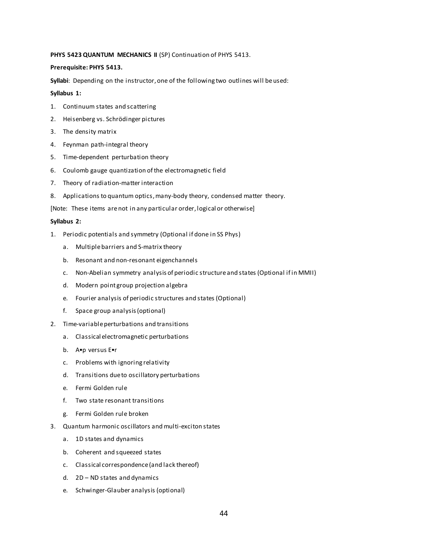#### PHYS 5423 QUANTUM MECHANICS II (SP) Continuation of PHYS 5413.

#### **Prerequisite: PHYS 5413.**

**Syllabi**: Depending on the instructor, one of the following two outlines will be used:

#### **Syllabus 1:**

- 1. Continuum states and scattering
- 2. Heisenberg vs. Schrödinger pictures
- 3. The density matrix
- 4. Feynman path-integral theory
- 5. Time-dependent perturbation theory
- 6. Coulomb gauge quantization of the electromagnetic field
- 7. Theory of radiation-matter interaction
- 8. Applications to quantum optics, many-body theory, condensed matter theory.

[Note: These items are not in any particular order, logical or otherwise]

#### **Syllabus 2:**

- 1. Periodic potentials and symmetry (Optional if done in SS Phys)
	- a. Multiple barriers and S-matrix theory
	- b. Resonant and non-resonant eigenchannels
	- c. Non-Abelian symmetry analysis of periodic structure and states (Optional if in MMII)
	- d. Modern point group projection algebra
	- e. Fourier analysis of periodic structures and states (Optional)
	- f. Space group analysis (optional)
- 2. Time-variable perturbations and transitions
	- a. Classical electromagnetic perturbations
	- b. A•p versus E•r
	- c. Problems with ignoring relativity
	- d. Transitions due to oscillatory perturbations
	- e. Fermi Golden rule
	- f. Two state resonant transitions
	- g. Fermi Golden rule broken
- 3. Quantum harmonic oscillators and multi-exciton states
	- a. 1D states and dynamics
	- b. Coherent and squeezed states
	- c. Classical correspondence (and lack thereof)
	- d. 2D ND states and dynamics
	- e. Schwinger-Glauber analysis (optional)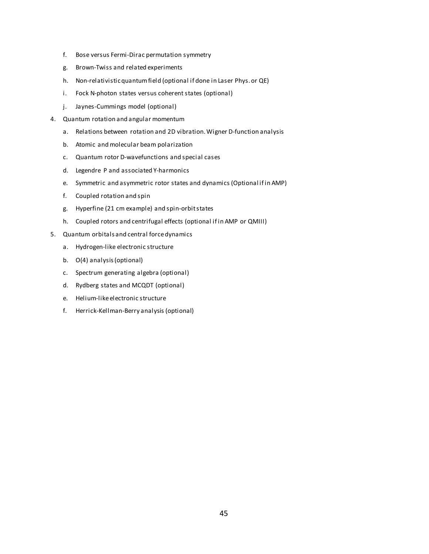- f. Bose versus Fermi-Dirac permutation symmetry
- g. Brown-Twiss and related experiments
- h. Non-relativistic quantum field (optional if done in Laser Phys. or QE)
- i. Fock N-photon states versus coherent states (optional)
- j. Jaynes-Cummings model (optional)
- 4. Quantum rotation and angular momentum
	- a. Relations between rotation and 2D vibration. Wigner D-function analysis
	- b. Atomic and molecular beam polarization
	- c. Quantum rotor D-wavefunctions and special cases
	- d. Legendre P and associated Y-harmonics
	- e. Symmetric and asymmetric rotor states and dynamics (Optional if in AMP)
	- f. Coupled rotation and spin
	- g. Hyperfine (21 cm example) and spin-orbit states
	- h. Coupled rotors and centrifugal effects (optional if in AMP or QMIII)
- 5. Quantum orbitals and central force dynamics
	- a. Hydrogen-like electronic structure
	- b. O(4) analysis (optional)
	- c. Spectrum generating algebra (optional)
	- d. Rydberg states and MCQDT (optional)
	- e. Helium-like electronic structure
	- f. Herrick-Kellman-Berry analysis (optional)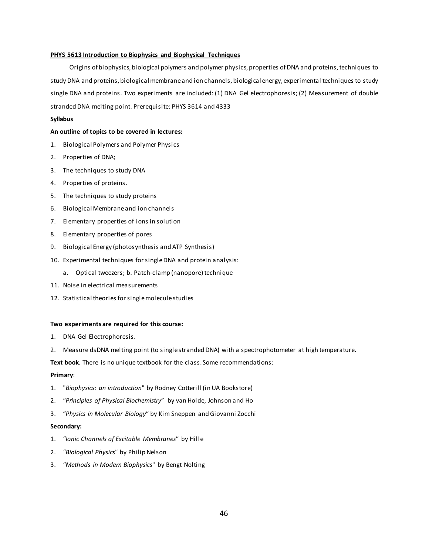#### **PHYS 5613 Introduction to Biophysics and Biophysical Techniques**

Origins of biophysics, biological polymers and polymer physics, properties of DNA and proteins, techniques to study DNA and proteins, biological membrane and ion channels, biological energy, experimental techniques to study single DNA and proteins. Two experiments are included: (1) DNA Gel electrophoresis; (2) Measurement of double stranded DNA melting point. Prerequisite: PHYS 3614 and 4333

#### **Syllabus**

#### **An outline of topics to be covered in lectures:**

- 1. Biological Polymers and Polymer Physics
- 2. Properties of DNA;
- 3. The techniques to study DNA
- 4. Properties of proteins.
- 5. The techniques to study proteins
- 6. Biological Membrane and ion channels
- 7. Elementary properties of ions in solution
- 8. Elementary properties of pores
- 9. Biological Energy (photosynthesis and ATP Synthesis)
- 10. Experimental techniques for single DNA and protein analysis:
	- a. Optical tweezers; b. Patch-clamp (nanopore) technique
- 11. Noise in electrical measurements
- 12. Statistical theories for single molecule studies

#### **Two experiments are required for this course:**

- 1. DNA Gel Electrophoresis.
- 2. Measure dsDNA melting point (to single stranded DNA) with a spectrophotometer at high temperature.

**Text book**. There is no unique textbook for the class. Some recommendations:

#### **Primary**:

- 1. "*Biophysics: an introduction*" by Rodney Cotterill (in UA Bookstore)
- 2. "*Principles of Physical Biochemistry*" by van Holde, Johnson and Ho
- 3. "*Physics in Molecular Biology*" by Kim Sneppen and Giovanni Zocchi

#### **Secondary:**

- 1. "*Ionic Channels of Excitable Membranes*" by Hille
- 2. "*Biological Physics*" by Philip Nelson
- 3. "*Methods in Modern Biophysics*" by Bengt Nolting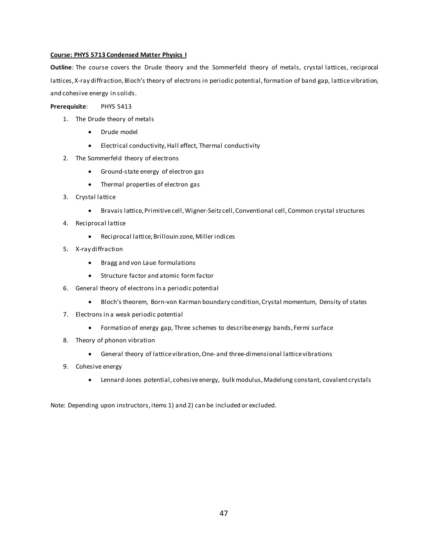#### **Course: PHYS 5713 Condensed Matter Physics I**

**Outline**: The course covers the Drude theory and the Sommerfeld theory of metals, crystal lattices, reciprocal lattices, X-ray diffraction, Bloch's theory of electrons in periodic potential, formation of band gap, lattice vibration, and cohesive energy in solids.

**Prerequisite**: PHYS 5413

- 1. The Drude theory of metals
	- Drude model
	- Electrical conductivity, Hall effect, Thermal conductivity
- 2. The Sommerfeld theory of electrons
	- Ground-state energy of electron gas
	- Thermal properties of electron gas
- 3. Crystal lattice
	- Bravais lattice, Primitive cell, Wigner-Seitz cell, Conventional cell, Common crystal structures
- 4. Reciprocal lattice
	- Reciprocal lattice, Brillouin zone, Miller indices
- 5. X-ray diffraction
	- Bragg and von Laue formulations
	- Structure factor and atomic form factor
- 6. General theory of electrons in a periodic potential
	- Bloch's theorem, Born-von Karman boundary condition, Crystal momentum, Density of states
- 7. Electrons in a weak periodic potential
	- Formation of energy gap, Three schemes to describe energy bands, Fermi surface
- 8. Theory of phonon vibration
	- General theory of lattice vibration, One- and three-dimensional lattice vibrations
- 9. Cohesive energy
	- Lennard-Jones potential, cohesive energy, bulk modulus, Madelung constant, covalent crystals

Note: Depending upon instructors, items 1) and 2) can be included or excluded.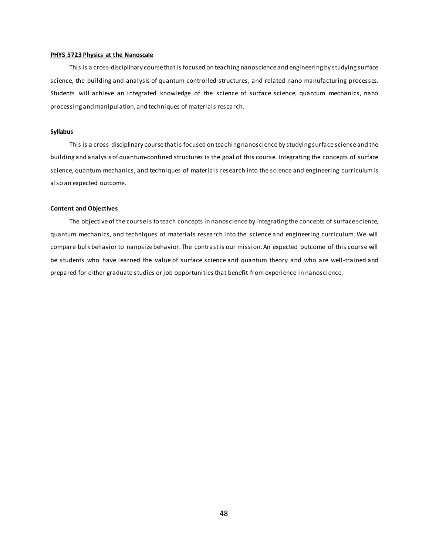#### **PHYS 5723 Physics at the Nanoscale**

This is a cross-disciplinary course that is focused on teaching nanoscience and engineering by studying surface science, the building and analysis of quantum-controlled structures, and related nano manufacturing processes. Students will achieve an integrated knowledge of the science of surface science, quantum mechanics, nano processing and manipulation, and techniques of materials research.

#### **Syllabus**

This is a cross-disciplinary course that is focused on teaching nanoscience by studying surface science and the building and analysis of quantum-confined structures is the goal of this course. Integrating the concepts of surface science, quantum mechanics, and techniques of materials research into the science and engineering curriculum is also an expected outcome.

#### **Content and Objectives**

The objective of the course is to teach concepts in nanoscience by integrating the concepts of surface science, quantum mechanics, and techniques of materials research into the science and engineering curriculum. We will compare bulk behavior to nanosize behavior. The contrast is our mission. An expected outcome of this course will be students who have learned the value of surface science and quantum theory and who are well-trained and prepared for either graduate studies or job opportunities that benefit from experience in nanoscience.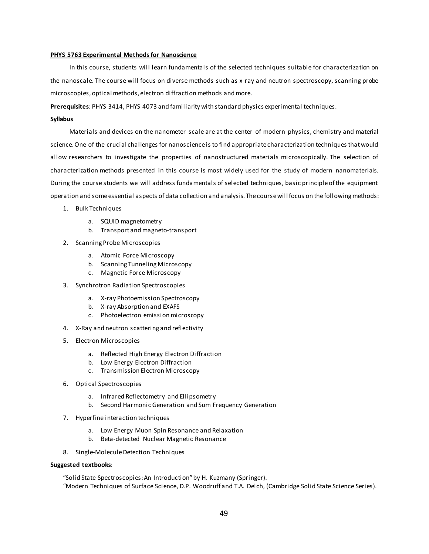#### **PHYS 5763 Experimental Methods for Nanoscience**

In this course, students will learn fundamentals of the selected techniques suitable for characterization on the nanoscale. The course will focus on diverse methods such as x-ray and neutron spectroscopy, scanning probe microscopies, optical methods, electron diffraction methods and more.

**Prerequisites**: PHYS 3414, PHYS 4073 and familiarity with standard physics experimental techniques.

#### **Syllabus**

Materials and devices on the nanometer scale are at the center of modern physics, chemistry and material science. One of the crucial challenges for nanoscience is to find appropriate characterization techniques that would allow researchers to investigate the properties of nanostructured materials microscopically. The selection of characterization methods presented in this course is most widely used for the study of modern nanomaterials. During the course students we will address fundamentals of selected techniques, basic principle of the equipment operation and some essential aspects of data collection and analysis. The course will focus on the following methods:

- 1. Bulk Techniques
	- a. SQUID magnetometry
	- b. Transport and magneto-transport
- 2. Scanning Probe Microscopies
	- a. Atomic Force Microscopy
	- b. Scanning Tunneling Microscopy
	- c. Magnetic Force Microscopy
- 3. Synchrotron Radiation Spectroscopies
	- a. X-ray Photoemission Spectroscopy
	- b. X-ray Absorption and EXAFS
	- c. Photoelectron emission microscopy
- 4. X-Ray and neutron scattering and reflectivity
- 5. Electron Microscopies
	- a. Reflected High Energy Electron Diffraction
	- b. Low Energy Electron Diffraction
	- c. Transmission Electron Microscopy
- 6. Optical Spectroscopies
	- a. Infrared Reflectometry and Ellipsometry
	- b. Second Harmonic Generation and Sum Frequency Generation
- 7. Hyperfine interaction techniques
	- a. Low Energy Muon Spin Resonance and Relaxation
	- b. Beta-detected Nuclear Magnetic Resonance
- 8. Single-Molecule Detection Techniques

#### **Suggested textbooks**:

"Solid State Spectroscopies: An Introduction" by H. Kuzmany (Springer). "Modern Techniques of Surface Science, D.P. Woodruff and T.A. Delch, (Cambridge Solid State Science Series).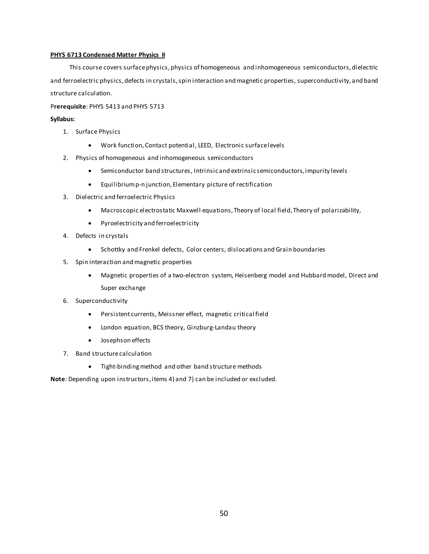#### **PHYS 6713 Condensed Matter Physics II**

This course covers surface physics, physics of homogeneous and inhomogeneous semiconductors, dielectric and ferroelectric physics, defects in crystals, spin interaction and magnetic properties, superconductivity, and band structure calculation.

#### P**rerequisite**: PHYS 5413 and PHYS 5713

#### **Syllabus:**

- 1. Surface Physics
	- Work function, Contact potential, LEED, Electronic surface levels
- 2. Physics of homogeneous and inhomogeneous semiconductors
	- Semiconductor band structures, Intrinsic and extrinsic semiconductors, impurity levels
	- Equilibrium p-n junction, Elementary picture of rectification
- 3. Dielectric and ferroelectric Physics
	- Macroscopic electrostatic Maxwell equations, Theory of local field, Theory of polarizability,
	- Pyroelectricity and ferroelectricity
- 4. Defects in crystals
	- Schottky and Frenkel defects, Color centers, dislocations and Grain boundaries
- 5. Spin interaction and magnetic properties
	- Magnetic properties of a two-electron system, Heisenberg model and Hubbard model, Direct and Super exchange
- 6. Superconductivity
	- Persistent currents, Meissner effect, magnetic critical field
	- London equation, BCS theory, Ginzburg-Landau theory
	- Josephson effects
- 7. Band structure calculation
	- Tight-binding method and other band structure methods

**Note**: Depending upon instructors, items 4) and 7) can be included or excluded.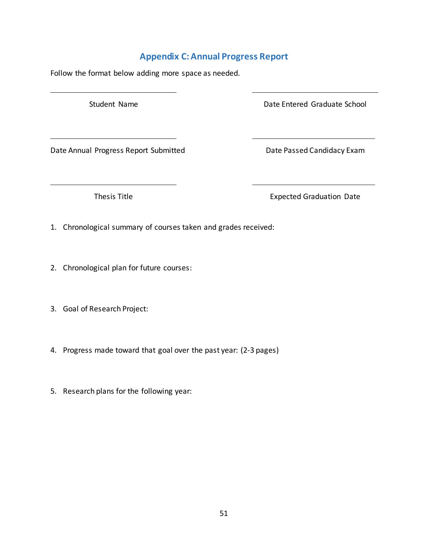### **Appendix C: Annual Progress Report**

<span id="page-54-0"></span>Follow the format below adding more space as needed.

Student Name **Date Entered Graduate School** 

Date Annual Progress Report Submitted Date Passed Candidacy Exam

Thesis Title **Expected Graduation Date** 

1. Chronological summary of courses taken and grades received:

- 2. Chronological plan for future courses:
- 3. Goal of Research Project:
- 4. Progress made toward that goal over the past year: (2-3 pages)
- 5. Research plans for the following year: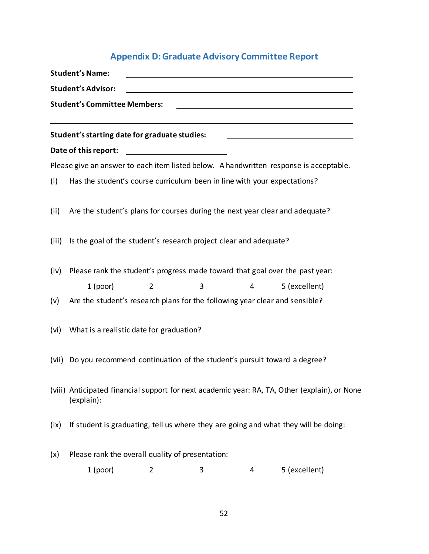# **Appendix D: Graduate Advisory Committee Report**

<span id="page-55-0"></span>

|                           | <b>Student's Name:</b>                                                                                      |                |   |   |                                                                                        |
|---------------------------|-------------------------------------------------------------------------------------------------------------|----------------|---|---|----------------------------------------------------------------------------------------|
| <b>Student's Advisor:</b> |                                                                                                             |                |   |   |                                                                                        |
|                           | <b>Student's Committee Members:</b>                                                                         |                |   |   |                                                                                        |
|                           | Student's starting date for graduate studies:                                                               |                |   |   |                                                                                        |
|                           | Date of this report:                                                                                        |                |   |   |                                                                                        |
|                           |                                                                                                             |                |   |   | Please give an answer to each item listed below. A handwritten response is acceptable. |
| (i)                       | Has the student's course curriculum been in line with your expectations?                                    |                |   |   |                                                                                        |
| (ii)                      | Are the student's plans for courses during the next year clear and adequate?                                |                |   |   |                                                                                        |
| (iii)                     | Is the goal of the student's research project clear and adequate?                                           |                |   |   |                                                                                        |
| (iv)                      | Please rank the student's progress made toward that goal over the past year:                                |                |   |   |                                                                                        |
|                           | $1$ (poor)                                                                                                  | $\overline{2}$ | 3 | 4 | 5 (excellent)                                                                          |
| (v)                       | Are the student's research plans for the following year clear and sensible?                                 |                |   |   |                                                                                        |
| (vi)                      | What is a realistic date for graduation?                                                                    |                |   |   |                                                                                        |
| (vii)                     | Do you recommend continuation of the student's pursuit toward a degree?                                     |                |   |   |                                                                                        |
|                           | (viii) Anticipated financial support for next academic year: RA, TA, Other (explain), or None<br>(explain): |                |   |   |                                                                                        |
| (ix)                      |                                                                                                             |                |   |   | If student is graduating, tell us where they are going and what they will be doing:    |
| (x)                       | Please rank the overall quality of presentation:                                                            |                |   |   |                                                                                        |
|                           | $1$ (poor)                                                                                                  | 2              | 3 | 4 | 5 (excellent)                                                                          |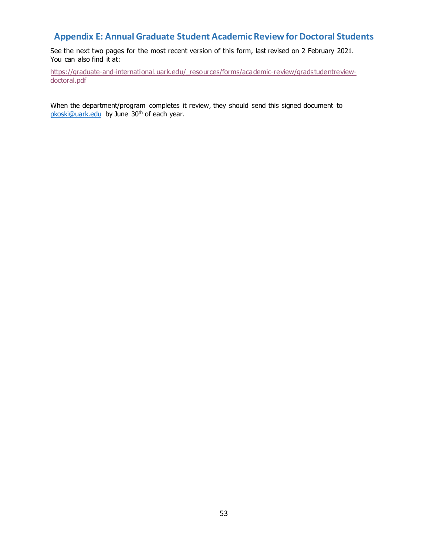### <span id="page-56-0"></span>**Appendix E: Annual Graduate Student Academic Review for Doctoral Students**

See the next two pages for the most recent version of this form, last revised on 2 February 2021. You can also find it at:

[https://graduate-and-international.uark.edu/\\_resources/forms/academic-review/gradstudentreview](https://graduate-and-international.uark.edu/_resources/forms/academic-review/gradstudentreview-doctoral.pdf)[doctoral.pdf](https://graduate-and-international.uark.edu/_resources/forms/academic-review/gradstudentreview-doctoral.pdf)

When the department/program completes it review, they should send this signed document to [pkoski@uark.edu](mailto:pkoski@uark.edu) by June 30<sup>th</sup> of each year.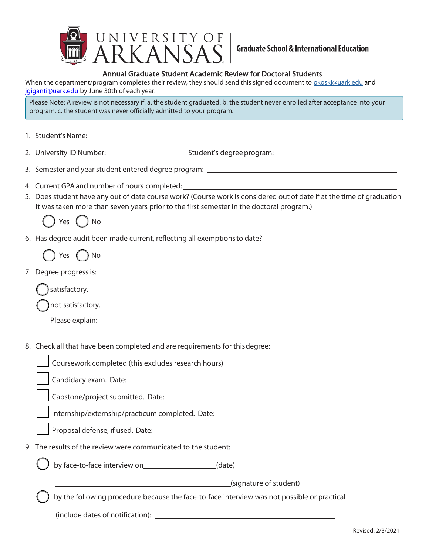

### Annual Graduate Student Academic Review for Doctoral Students

When the department/program completes their review, they should send this signed document t[o pkoski@uark.edu](mailto:pkoski@uark.edu) and [jgiganti@uark.edu](mailto:jgiganti@uark.edu) by June 30th of each year.

Please Note: A review is not necessary if: a. the student graduated. b. the student never enrolled after acceptance into your program. c. the student was never officially admitted to your program.

- 1. Student'sName:
- 2. University ID Number: Student's degree program:
- 3. Semester and year student entered degree program:
- 4. Current GPA and number of hours completed:
- 5. Does student have any out of date course work? (Course work is considered out of date if at the time of graduation it was taken more than seven years prior to the first semester in the doctoral program.)



6. Has degree audit been made current, reflecting all exemptionsto date?

Yes ( ) No

7. Degree progress is:

satisfactory.

not satisfactory.

Please explain:

8. Check all that have been completed and are requirements for thisdegree:

|  | Coursework completed (this excludes research hours)                                         |
|--|---------------------------------------------------------------------------------------------|
|  |                                                                                             |
|  |                                                                                             |
|  | Internship/externship/practicum completed. Date: _______________________________            |
|  |                                                                                             |
|  | 9. The results of the review were communicated to the student:                              |
|  | by face-to-face interview on (date)                                                         |
|  | (signature of student)                                                                      |
|  | by the following procedure because the face-to-face interview was not possible or practical |
|  |                                                                                             |
|  |                                                                                             |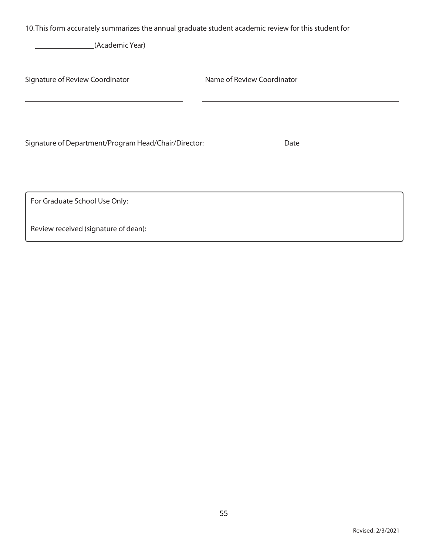10.This form accurately summarizes the annual graduate student academic review for this student for

(Academic Year)

 $\overline{a}$ 

| Signature of Review Coordinator                      | Name of Review Coordinator |  |
|------------------------------------------------------|----------------------------|--|
|                                                      |                            |  |
|                                                      |                            |  |
| Signature of Department/Program Head/Chair/Director: | Date                       |  |
|                                                      |                            |  |
| For Graduate School Use Only:                        |                            |  |
| Review received (signature of dean): __________      |                            |  |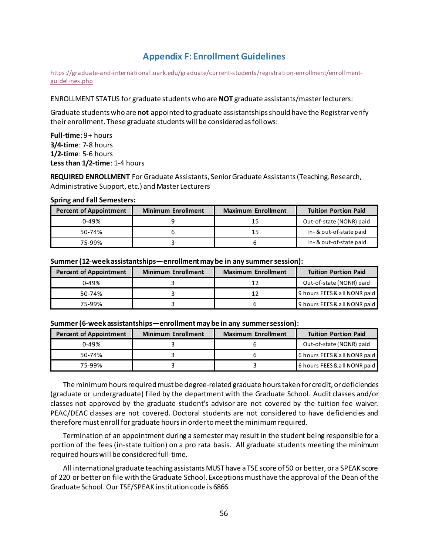### **Appendix F: Enrollment Guidelines**

<span id="page-59-0"></span>[https://graduate-and-international.uark.edu/graduate/current-students/registration-enrollment/enrollment](https://graduate-and-international.uark.edu/graduate/current-students/registration-enrollment/enrollment-guidelines.php)[guidelines.php](https://graduate-and-international.uark.edu/graduate/current-students/registration-enrollment/enrollment-guidelines.php)

ENROLLMENT STATUS for graduate students who are **NOT** graduate assistants/master lecturers:

Graduate students who are **not** appointed to graduate assistantships should have the Registrar verify their enrollment. These graduate students will be considered as follows:

**Full-time**: 9 + hours **3/4-time**: 7-8 hours **1/2-time**: 5-6 hours **Less than 1/2-time**: 1-4 hours

REQUIRED ENROLLMENT For Graduate Assistants, Senior Graduate Assistants (Teaching, Research, Administrative Support, etc.) and Master Lecturers

#### **Spring and Fall Semesters:**

| <b>Percent of Appointment</b> | <b>Minimum Enrollment</b> | <b>Maximum Enrollment</b> | <b>Tuition Portion Paid</b> |
|-------------------------------|---------------------------|---------------------------|-----------------------------|
| $0 - 49%$                     |                           |                           | Out-of-state (NONR) paid    |
| $50-74%$                      |                           |                           | In-& out-of-state paid      |
| 75-99%                        |                           |                           | In-& out-of-state paid      |

#### **Summer (12-week assistantships—enrollment may be in any summer session):**

| <b>Percent of Appointment</b> | <b>Minimum Enrollment</b> | <b>Maximum Enrollment</b> | <b>Tuition Portion Paid</b>  |
|-------------------------------|---------------------------|---------------------------|------------------------------|
| $0 - 49%$                     |                           |                           | Out-of-state (NONR) paid     |
| $50-74%$                      |                           |                           | 9 hours FEES & all NONR paid |
| 75-99%                        |                           |                           | 9 hours FEES & all NONR paid |

#### **Summer (6-week assistantships—enrollment may be in any summer session):**

| <b>Percent of Appointment</b> | <b>Minimum Enrollment</b> | <b>Maximum Enrollment</b> | <b>Tuition Portion Paid</b>  |
|-------------------------------|---------------------------|---------------------------|------------------------------|
| $0 - 49%$                     |                           |                           | Out-of-state (NONR) paid     |
| 50-74%                        |                           |                           | 6 hours FEES & all NONR paid |
| 75-99%                        |                           |                           | 6 hours FEES & all NONR paid |

The minimum hours required must be degree-related graduate hours taken for credit, or deficiencies (graduate or undergraduate) filed by the department with the Graduate School. Audit classes and/or classes not approved by the graduate student's advisor are not covered by the tuition fee waiver. PEAC/DEAC classes are not covered. Doctoral students are not considered to have deficiencies and therefore must enroll for graduate hours in order to meet the minimum required.

Termination of an appointment during a semester may result in the student being responsible for a portion of the fees (in-state tuition) on a pro rata basis. All graduate students meeting the minimum required hours will be considered full-time.

All international graduate teaching assistants MUST have a TSE score of 50 or better, or a SPEAK score of 220 or better on file with the Graduate School. Exceptions must have the approval of the Dean of the Graduate School. Our TSE/SPEAK institution code is 6866.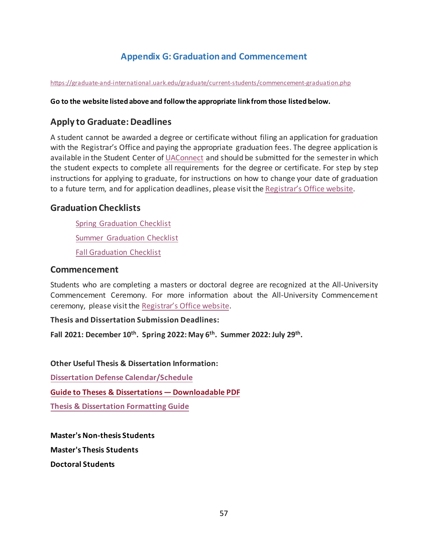## **Appendix G: Graduation and Commencement**

<span id="page-60-0"></span><https://graduate-and-international.uark.edu/graduate/current-students/commencement-graduation.php>

### **Go to the website listed above and follow the appropriate link from those listed below.**

### **Apply to Graduate: Deadlines**

A student cannot be awarded a degree or certificate without filing an application for graduation with the Registrar's Office and paying the appropriate graduation fees. The degree application is available in the Student Center of [UAConnect](https://uaconnect.uark.edu/) and should be submitted for the semester in which the student expects to complete all requirements for the degree or certificate. For step by step instructions for applying to graduate, for instructions on how to change your date of graduation to a future term, and for application deadlines, please visit the [Registrar's Office website.](https://registrar.uark.edu/graduation/index.php)

### **Graduation Checklists**

[Spring Graduation Checklist](https://graduate-and-international.uark.edu/graduate/current-students/graduation-checklists/spring-checklist.php)

[Summer Graduation Checklist](https://graduate-and-international.uark.edu/graduate/current-students/graduation-checklists/summer-checklist.php)

[Fall Graduation Checklist](https://graduate-and-international.uark.edu/graduate/current-students/graduation-checklists/fall-checklist.php)

### **Commencement**

Students who are completing a masters or doctoral degree are recognized at the All-University Commencement Ceremony. For more information about the All-University Commencement ceremony, please visit the [Registrar's Office website.](https://registrar.uark.edu/graduation/commencement/index.php)

**Thesis and Dissertation Submission Deadlines:** 

**Fall 2021: December 10th . Spring 2022: May 6 th . Summer 2022:July 29 th .** 

**Other Useful Thesis & Dissertation Information:**

**[Dissertation Defense Calendar/Schedule](https://graduate-and-international.uark.edu/graduate/current-students/dissertation-defense.php)**

**Guide to Theses & [Dissertations — Downloadable PDF](https://graduate-and-international.uark.edu/_resources/forms/thesis-dissertation-guide.pdf)**

**[Thesis & Dissertation](https://graduate-and-international.uark.edu/graduate/current-students/thesis-dissertation-info/index.php) Formatting Guide**

**Master's Non-thesis Students Master's Thesis Students**

**Doctoral Students**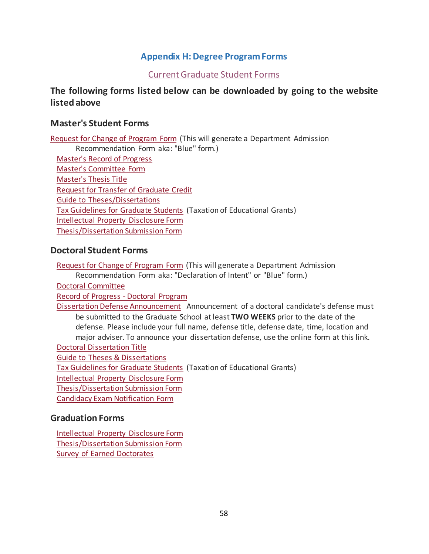### **Appendix H: Degree Program Forms**

### [Current Graduate Student Forms](https://graduate-and-international.uark.edu/graduate/current-students/forms.php)

### <span id="page-61-0"></span>**The following forms listed below can be downloaded by going to the website listed above**

### **Master's Student Forms**

[Request for Change of Program Form](https://graduate-and-international.uark.edu/_resources/forms/change-degree.pdf) (This will generate a Department Admission Recommendation Form aka: "Blue" form.) [Master's Record of Progress](https://graduate-and-international.uark.edu/_resources/forms/progress-record-masters.pdf) [Master's Committee Form](https://graduate-and-international.uark.edu/_resources/forms/masters-committee.pdf) [Master's Thesis Title](https://graduate-and-international.uark.edu/_resources/forms/td-title.pdf) [Request for Transfer of Graduate Credit](https://graduate-and-international.uark.edu/_resources/forms/transfer-credit-master.pdf) [Guide to Theses/Dissertations](https://graduate-and-international.uark.edu/_resources/forms/thesis-dissertation-guide.pdf) [Tax Guidelines for Graduate Students](https://graduate-and-international.uark.edu/_resources/forms/tax-guidelines-grad-students.pdf) (Taxation of Educational Grants) [Intellectual Property Disclosure Form](https://graduate-and-international.uark.edu/_resources/forms/intellectual-property-disclosure.pdf) [Thesis/Dissertation Submission Form](https://graduate-and-international.uark.edu/_resources/forms/thesis-dissertation-submission.pdf)

### **Doctoral Student Forms**

[Request for Change of Program Form](https://graduate-and-international.uark.edu/_resources/forms/change-degree.pdf) (This will generate a Department Admission Recommendation Form aka: "Declaration of Intent" or "Blue" form.)

[Doctoral Committee](https://graduate-and-international.uark.edu/_resources/forms/doctoral-committee.pdf)

[Record of Progress -](https://graduate-and-international.uark.edu/_resources/forms/phd-progress-record.pdf) Doctoral Program

[Dissertation Defense Announcement](https://graduate-and-international.uark.edu/graduate/current-students/dissertation-defense-form.php) Announcement of a doctoral candidate's defense must be submitted to the Graduate School at least **TWO WEEKS** prior to the date of the defense. Please include your full name, defense title, defense date, time, location and major adviser. To announce your dissertation defense, use the online form at this link. [Doctoral Dissertation Title](https://graduate-and-international.uark.edu/_resources/forms/td-title.pdf) [Guide to Theses & Dissertations](https://graduate-and-international.uark.edu/_resources/forms/thesis-dissertation-guide.pdf)

[Tax Guidelines for Graduate Students](https://graduate-and-international.uark.edu/_resources/forms/tax-guidelines-grad-students.pdf) (Taxation of Educational Grants)

[Intellectual Property Disclosure Form](https://graduate-and-international.uark.edu/_resources/forms/intellectual-property-disclosure.pdf)

[Thesis/Dissertation Submission Form](https://graduate-and-international.uark.edu/_resources/forms/thesis-dissertation-submission.pdf)

[Candidacy Exam Notification Form](https://graduate-and-international.uark.edu/_resources/forms/candidacy-exam-notice.pdf)

### **Graduation Forms**

[Intellectual Property Disclosure Form](https://graduate-and-international.uark.edu/_resources/forms/intellectual-property-disclosure.pdf) [Thesis/Dissertation Submission Form](https://graduate-and-international.uark.edu/_resources/forms/thesis-dissertation-submission.pdf) [Survey of Earned Doctorates](https://sed-ncses.org/login.aspx?redirect=true)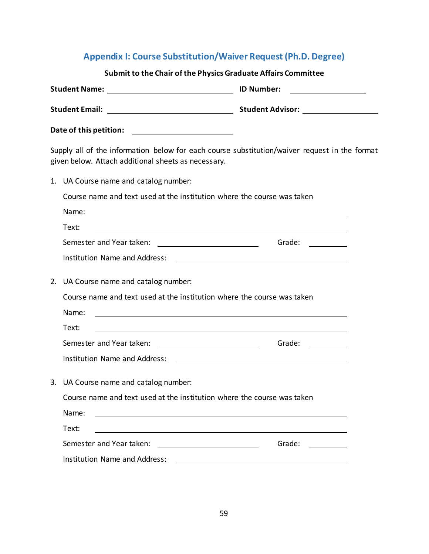# **Appendix I: Course Substitution/Waiver Request (Ph.D. Degree)**

<span id="page-62-0"></span>

| Submit to the Chair of the Physics Graduate Affairs Committee                                                                                                                                                                        |  |
|--------------------------------------------------------------------------------------------------------------------------------------------------------------------------------------------------------------------------------------|--|
| <b>ID Number:</b><br><u> 1980 - Jan Stein Stein Stein Stein Stein Stein Stein Stein Stein Stein Stein Stein Stein Stein Stein Stein S</u>                                                                                            |  |
| Student Email: <u>New York: New York: New York: New York: New York: New York: New York: New York: New York: New York: New York: New York: New York: New York: New York: New York: New York: New York: New York: New York: New Yo</u> |  |
|                                                                                                                                                                                                                                      |  |
| Supply all of the information below for each course substitution/waiver request in the format<br>given below. Attach additional sheets as necessary.                                                                                 |  |
| 1. UA Course name and catalog number:                                                                                                                                                                                                |  |
| Course name and text used at the institution where the course was taken                                                                                                                                                              |  |
| Name:<br><u> 1989 - Johann Stoff, deutscher Stoffen und der Stoffen und der Stoffen und der Stoffen und der Stoffen und der</u>                                                                                                      |  |
| Text:<br><u> 1980 - Johann Barn, mars ann an t-Amhain Aonaich an t-Aonaich an t-Aonaich ann an t-Aonaich ann an t-Aonaich</u>                                                                                                        |  |
| Grade: __________                                                                                                                                                                                                                    |  |
| <b>Institution Name and Address:</b>                                                                                                                                                                                                 |  |
| 2. UA Course name and catalog number:                                                                                                                                                                                                |  |
| Course name and text used at the institution where the course was taken                                                                                                                                                              |  |
| Name:<br><u> 1989 - Johann Stoff, deutscher Stoffen und der Stoffen und der Stoffen und der Stoffen und der Stoffen und der</u>                                                                                                      |  |
| Text:<br><u> 1980 - Johann Barn, mars ann an t-Amhain Aonaichte ann an t-Aonaichte ann an t-Aonaichte ann an t-Aonaichte a</u>                                                                                                       |  |
| Grade:                                                                                                                                                                                                                               |  |
| <b>Institution Name and Address:</b>                                                                                                                                                                                                 |  |
| 3. UA Course name and catalog number:                                                                                                                                                                                                |  |
| Course name and text used at the institution where the course was taken                                                                                                                                                              |  |
| Name:<br><u> 1980 - Johann Stoff, deutscher Stoffen und der Stoffen und der Stoffen und der Stoffen und der Stoffen und de</u>                                                                                                       |  |
| Text:                                                                                                                                                                                                                                |  |
| Semester and Year taken:<br>Grade:                                                                                                                                                                                                   |  |
| <b>Institution Name and Address:</b>                                                                                                                                                                                                 |  |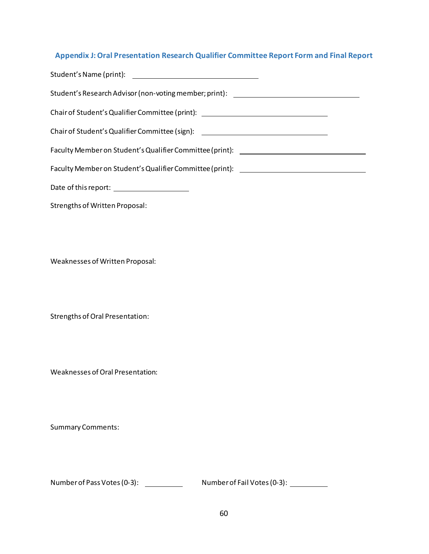## <span id="page-63-0"></span>**Appendix J: Oral Presentation Research Qualifier Committee Report Form and Final Report**

| Student's Research Advisor (non-voting member; print): _________________________                                                                                                                                               |
|--------------------------------------------------------------------------------------------------------------------------------------------------------------------------------------------------------------------------------|
| Chair of Student's Qualifier Committee (print): \\effinity \\effinity \\effinity \\effinity \\effinity \\effinity \\effinity \\effinity \\effinity \\effinity \\effinity \\effinity \\effinity \\effinity \\effinity \\effinit |
| Chair of Student's Qualifier Committee (sign): \\effinity \\effinity \\effinity \\effinity \\effinity \\effinity \\effinity \\effinity \\effinity \\effinity \\effinity \\effinity \\effinity \\effinity \\effinity \\effinity |
|                                                                                                                                                                                                                                |
|                                                                                                                                                                                                                                |
|                                                                                                                                                                                                                                |
| Strengths of Written Proposal:                                                                                                                                                                                                 |
| Weaknesses of Written Proposal:                                                                                                                                                                                                |
|                                                                                                                                                                                                                                |
| Strengths of Oral Presentation:                                                                                                                                                                                                |
| Weaknesses of Oral Presentation:                                                                                                                                                                                               |
| <b>Summary Comments:</b>                                                                                                                                                                                                       |
| Number of Pass Votes (0-3):<br>Number of Fail Votes (0-3):                                                                                                                                                                     |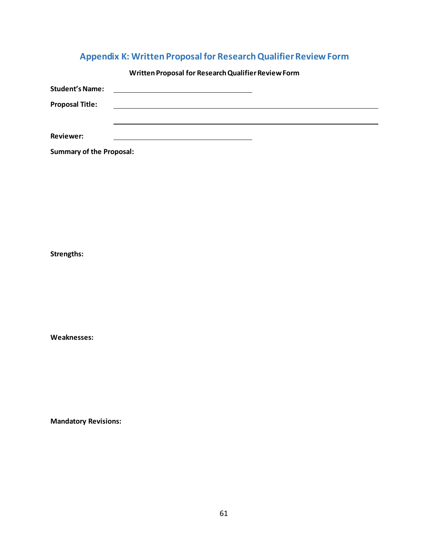# **Appendix K: Written Proposal for Research Qualifier Review Form**

<span id="page-64-0"></span>

|                        | Written Proposal for Research Qualifier Review Form |
|------------------------|-----------------------------------------------------|
| <b>Student's Name:</b> |                                                     |
| <b>Proposal Title:</b> |                                                     |
|                        |                                                     |
| <b>Reviewer:</b>       |                                                     |

**Summary of the Proposal:**

**Strengths:**

**Weaknesses:**

**Mandatory Revisions:**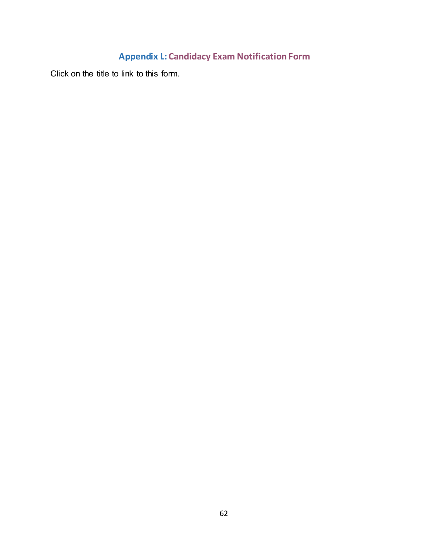# <span id="page-65-0"></span>**Appendix L: [Candidacy Exam Notification Form](https://graduate-and-international.uark.edu/_resources/forms/candidacy-exam-notice.pdf)**

Click on the title to link to this form.